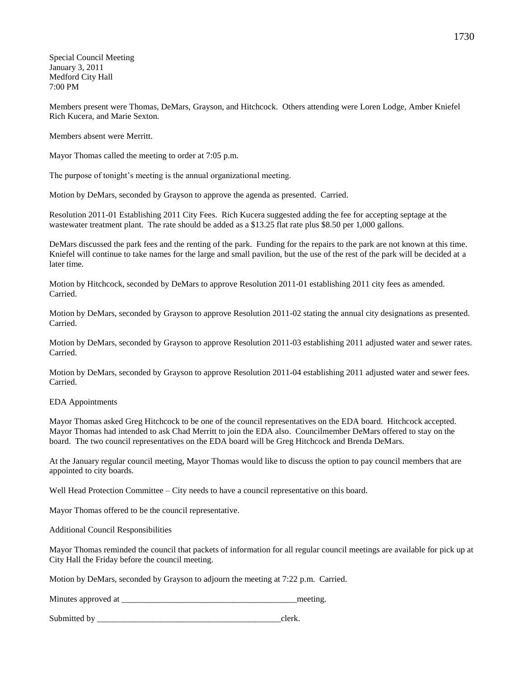Special Council Meeting January 3, 2011 Medford City Hall 7:00 PM

Members present were Thomas, DeMars, Grayson, and Hitchcock. Others attending were Loren Lodge, Amber Kniefel Rich Kucera, and Marie Sexton.

Members absent were Merritt.

Mayor Thomas called the meeting to order at 7:05 p.m.

The purpose of tonight's meeting is the annual organizational meeting.

Motion by DeMars, seconded by Grayson to approve the agenda as presented. Carried.

Resolution 2011-01 Establishing 2011 City Fees. Rich Kucera suggested adding the fee for accepting septage at the wastewater treatment plant. The rate should be added as a \$13.25 flat rate plus \$8.50 per 1,000 gallons.

DeMars discussed the park fees and the renting of the park. Funding for the repairs to the park are not known at this time. Kniefel will continue to take names for the large and small pavilion, but the use of the rest of the park will be decided at a later time.

Motion by Hitchcock, seconded by DeMars to approve Resolution 2011-01 establishing 2011 city fees as amended. Carried.

Motion by DeMars, seconded by Grayson to approve Resolution 2011-02 stating the annual city designations as presented. Carried.

Motion by DeMars, seconded by Grayson to approve Resolution 2011-03 establishing 2011 adjusted water and sewer rates. Carried.

Motion by DeMars, seconded by Grayson to approve Resolution 2011-04 establishing 2011 adjusted water and sewer fees. Carried.

### EDA Appointments

Mayor Thomas asked Greg Hitchcock to be one of the council representatives on the EDA board. Hitchcock accepted. Mayor Thomas had intended to ask Chad Merritt to join the EDA also. Councilmember DeMars offered to stay on the board. The two council representatives on the EDA board will be Greg Hitchcock and Brenda DeMars.

At the January regular council meeting, Mayor Thomas would like to discuss the option to pay council members that are appointed to city boards.

Well Head Protection Committee – City needs to have a council representative on this board.

Mayor Thomas offered to be the council representative.

Additional Council Responsibilities

Mayor Thomas reminded the council that packets of information for all regular council meetings are available for pick up at City Hall the Friday before the council meeting.

Motion by DeMars, seconded by Grayson to adjourn the meeting at 7:22 p.m. Carried.

Minutes approved at the meeting.

Submitted by clerk.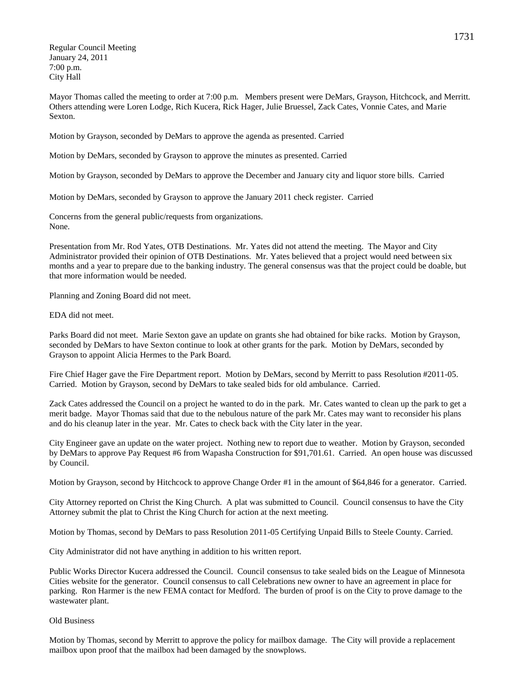Regular Council Meeting January 24, 2011 7:00 p.m. City Hall

Mayor Thomas called the meeting to order at 7:00 p.m. Members present were DeMars, Grayson, Hitchcock, and Merritt. Others attending were Loren Lodge, Rich Kucera, Rick Hager, Julie Bruessel, Zack Cates, Vonnie Cates, and Marie Sexton.

Motion by Grayson, seconded by DeMars to approve the agenda as presented. Carried

Motion by DeMars, seconded by Grayson to approve the minutes as presented. Carried

Motion by Grayson, seconded by DeMars to approve the December and January city and liquor store bills. Carried

Motion by DeMars, seconded by Grayson to approve the January 2011 check register. Carried

Concerns from the general public/requests from organizations. None.

Presentation from Mr. Rod Yates, OTB Destinations. Mr. Yates did not attend the meeting. The Mayor and City Administrator provided their opinion of OTB Destinations. Mr. Yates believed that a project would need between six months and a year to prepare due to the banking industry. The general consensus was that the project could be doable, but that more information would be needed.

Planning and Zoning Board did not meet.

EDA did not meet.

Parks Board did not meet. Marie Sexton gave an update on grants she had obtained for bike racks. Motion by Grayson, seconded by DeMars to have Sexton continue to look at other grants for the park. Motion by DeMars, seconded by Grayson to appoint Alicia Hermes to the Park Board.

Fire Chief Hager gave the Fire Department report. Motion by DeMars, second by Merritt to pass Resolution #2011-05. Carried. Motion by Grayson, second by DeMars to take sealed bids for old ambulance. Carried.

Zack Cates addressed the Council on a project he wanted to do in the park. Mr. Cates wanted to clean up the park to get a merit badge. Mayor Thomas said that due to the nebulous nature of the park Mr. Cates may want to reconsider his plans and do his cleanup later in the year. Mr. Cates to check back with the City later in the year.

City Engineer gave an update on the water project. Nothing new to report due to weather. Motion by Grayson, seconded by DeMars to approve Pay Request #6 from Wapasha Construction for \$91,701.61. Carried. An open house was discussed by Council.

Motion by Grayson, second by Hitchcock to approve Change Order #1 in the amount of \$64,846 for a generator. Carried.

City Attorney reported on Christ the King Church. A plat was submitted to Council. Council consensus to have the City Attorney submit the plat to Christ the King Church for action at the next meeting.

Motion by Thomas, second by DeMars to pass Resolution 2011-05 Certifying Unpaid Bills to Steele County. Carried.

City Administrator did not have anything in addition to his written report.

Public Works Director Kucera addressed the Council. Council consensus to take sealed bids on the League of Minnesota Cities website for the generator. Council consensus to call Celebrations new owner to have an agreement in place for parking. Ron Harmer is the new FEMA contact for Medford. The burden of proof is on the City to prove damage to the wastewater plant.

### Old Business

Motion by Thomas, second by Merritt to approve the policy for mailbox damage. The City will provide a replacement mailbox upon proof that the mailbox had been damaged by the snowplows.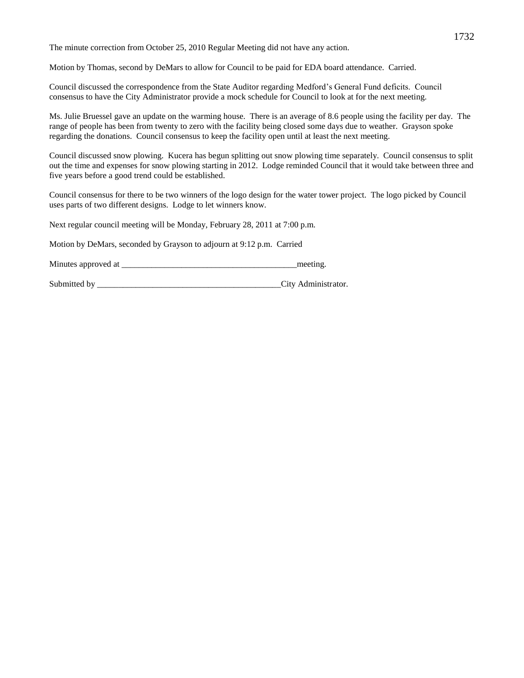The minute correction from October 25, 2010 Regular Meeting did not have any action.

Motion by Thomas, second by DeMars to allow for Council to be paid for EDA board attendance. Carried.

Council discussed the correspondence from the State Auditor regarding Medford's General Fund deficits. Council consensus to have the City Administrator provide a mock schedule for Council to look at for the next meeting.

Ms. Julie Bruessel gave an update on the warming house. There is an average of 8.6 people using the facility per day. The range of people has been from twenty to zero with the facility being closed some days due to weather. Grayson spoke regarding the donations. Council consensus to keep the facility open until at least the next meeting.

Council discussed snow plowing. Kucera has begun splitting out snow plowing time separately. Council consensus to split out the time and expenses for snow plowing starting in 2012. Lodge reminded Council that it would take between three and five years before a good trend could be established.

Council consensus for there to be two winners of the logo design for the water tower project. The logo picked by Council uses parts of two different designs. Lodge to let winners know.

Next regular council meeting will be Monday, February 28, 2011 at 7:00 p.m.

Motion by DeMars, seconded by Grayson to adjourn at 9:12 p.m. Carried

Minutes approved at \_\_\_\_\_\_\_\_\_\_\_\_\_\_\_\_\_\_\_\_\_\_\_\_\_\_\_\_\_\_\_\_\_\_\_\_\_\_\_\_\_meeting.

Submitted by  $\qquad \qquad \qquad \qquad$  City Administrator.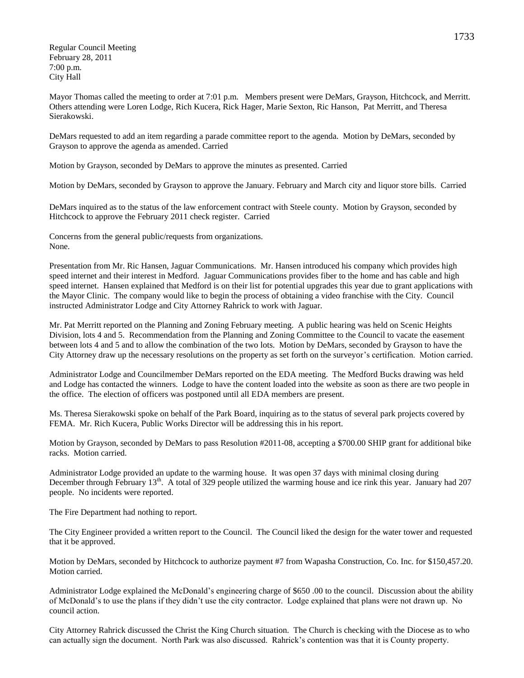Regular Council Meeting February 28, 2011 7:00 p.m. City Hall

Mayor Thomas called the meeting to order at 7:01 p.m. Members present were DeMars, Grayson, Hitchcock, and Merritt. Others attending were Loren Lodge, Rich Kucera, Rick Hager, Marie Sexton, Ric Hanson, Pat Merritt, and Theresa Sierakowski.

DeMars requested to add an item regarding a parade committee report to the agenda. Motion by DeMars, seconded by Grayson to approve the agenda as amended. Carried

Motion by Grayson, seconded by DeMars to approve the minutes as presented. Carried

Motion by DeMars, seconded by Grayson to approve the January. February and March city and liquor store bills. Carried

DeMars inquired as to the status of the law enforcement contract with Steele county. Motion by Grayson, seconded by Hitchcock to approve the February 2011 check register. Carried

Concerns from the general public/requests from organizations. None.

Presentation from Mr. Ric Hansen, Jaguar Communications. Mr. Hansen introduced his company which provides high speed internet and their interest in Medford. Jaguar Communications provides fiber to the home and has cable and high speed internet. Hansen explained that Medford is on their list for potential upgrades this year due to grant applications with the Mayor Clinic. The company would like to begin the process of obtaining a video franchise with the City. Council instructed Administrator Lodge and City Attorney Rahrick to work with Jaguar.

Mr. Pat Merritt reported on the Planning and Zoning February meeting. A public hearing was held on Scenic Heights Division, lots 4 and 5. Recommendation from the Planning and Zoning Committee to the Council to vacate the easement between lots 4 and 5 and to allow the combination of the two lots. Motion by DeMars, seconded by Grayson to have the City Attorney draw up the necessary resolutions on the property as set forth on the surveyor's certification. Motion carried.

Administrator Lodge and Councilmember DeMars reported on the EDA meeting. The Medford Bucks drawing was held and Lodge has contacted the winners. Lodge to have the content loaded into the website as soon as there are two people in the office. The election of officers was postponed until all EDA members are present.

Ms. Theresa Sierakowski spoke on behalf of the Park Board, inquiring as to the status of several park projects covered by FEMA. Mr. Rich Kucera, Public Works Director will be addressing this in his report.

Motion by Grayson, seconded by DeMars to pass Resolution #2011-08, accepting a \$700.00 SHIP grant for additional bike racks. Motion carried.

Administrator Lodge provided an update to the warming house. It was open 37 days with minimal closing during December through February  $13<sup>th</sup>$ . A total of 329 people utilized the warming house and ice rink this year. January had 207 people. No incidents were reported.

The Fire Department had nothing to report.

The City Engineer provided a written report to the Council. The Council liked the design for the water tower and requested that it be approved.

Motion by DeMars, seconded by Hitchcock to authorize payment #7 from Wapasha Construction, Co. Inc. for \$150,457.20. Motion carried.

Administrator Lodge explained the McDonald's engineering charge of \$650 .00 to the council. Discussion about the ability of McDonald's to use the plans if they didn't use the city contractor. Lodge explained that plans were not drawn up. No council action.

City Attorney Rahrick discussed the Christ the King Church situation. The Church is checking with the Diocese as to who can actually sign the document. North Park was also discussed. Rahrick's contention was that it is County property.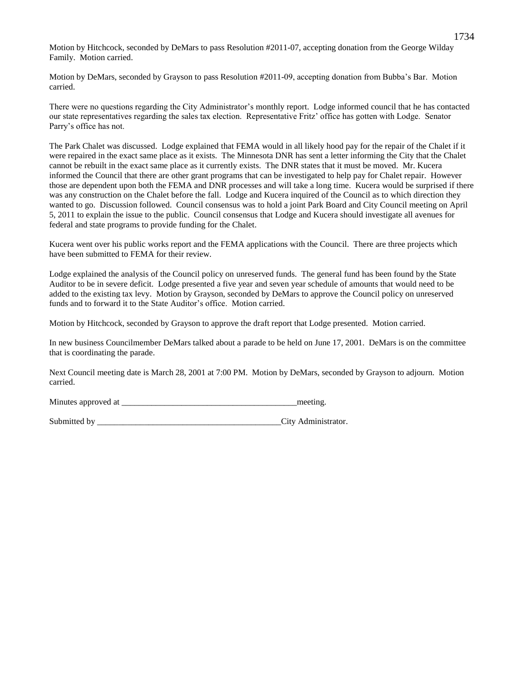Motion by Hitchcock, seconded by DeMars to pass Resolution #2011-07, accepting donation from the George Wilday Family. Motion carried.

Motion by DeMars, seconded by Grayson to pass Resolution #2011-09, accepting donation from Bubba's Bar. Motion carried.

There were no questions regarding the City Administrator's monthly report. Lodge informed council that he has contacted our state representatives regarding the sales tax election. Representative Fritz' office has gotten with Lodge. Senator Parry's office has not.

The Park Chalet was discussed. Lodge explained that FEMA would in all likely hood pay for the repair of the Chalet if it were repaired in the exact same place as it exists. The Minnesota DNR has sent a letter informing the City that the Chalet cannot be rebuilt in the exact same place as it currently exists. The DNR states that it must be moved. Mr. Kucera informed the Council that there are other grant programs that can be investigated to help pay for Chalet repair. However those are dependent upon both the FEMA and DNR processes and will take a long time. Kucera would be surprised if there was any construction on the Chalet before the fall. Lodge and Kucera inquired of the Council as to which direction they wanted to go. Discussion followed. Council consensus was to hold a joint Park Board and City Council meeting on April 5, 2011 to explain the issue to the public. Council consensus that Lodge and Kucera should investigate all avenues for federal and state programs to provide funding for the Chalet.

Kucera went over his public works report and the FEMA applications with the Council. There are three projects which have been submitted to FEMA for their review.

Lodge explained the analysis of the Council policy on unreserved funds. The general fund has been found by the State Auditor to be in severe deficit. Lodge presented a five year and seven year schedule of amounts that would need to be added to the existing tax levy. Motion by Grayson, seconded by DeMars to approve the Council policy on unreserved funds and to forward it to the State Auditor's office. Motion carried.

Motion by Hitchcock, seconded by Grayson to approve the draft report that Lodge presented. Motion carried.

In new business Councilmember DeMars talked about a parade to be held on June 17, 2001. DeMars is on the committee that is coordinating the parade.

Next Council meeting date is March 28, 2001 at 7:00 PM. Motion by DeMars, seconded by Grayson to adjourn. Motion carried.

Minutes approved at \_\_\_\_\_\_\_\_\_\_\_\_\_\_\_\_\_\_\_\_\_\_\_\_\_\_\_\_\_\_\_\_\_\_\_\_\_\_\_\_\_meeting.

Submitted by  $\qquad \qquad \qquad \qquad$  City Administrator.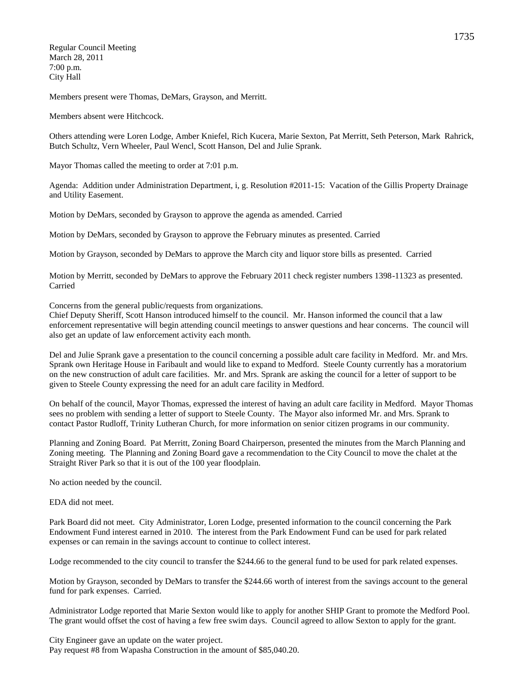Regular Council Meeting March 28, 2011 7:00 p.m. City Hall

Members present were Thomas, DeMars, Grayson, and Merritt.

Members absent were Hitchcock.

Others attending were Loren Lodge, Amber Kniefel, Rich Kucera, Marie Sexton, Pat Merritt, Seth Peterson, Mark Rahrick, Butch Schultz, Vern Wheeler, Paul Wencl, Scott Hanson, Del and Julie Sprank.

Mayor Thomas called the meeting to order at 7:01 p.m.

Agenda: Addition under Administration Department, i, g. Resolution #2011-15: Vacation of the Gillis Property Drainage and Utility Easement.

Motion by DeMars, seconded by Grayson to approve the agenda as amended. Carried

Motion by DeMars, seconded by Grayson to approve the February minutes as presented. Carried

Motion by Grayson, seconded by DeMars to approve the March city and liquor store bills as presented. Carried

Motion by Merritt, seconded by DeMars to approve the February 2011 check register numbers 1398-11323 as presented. Carried

Concerns from the general public/requests from organizations.

Chief Deputy Sheriff, Scott Hanson introduced himself to the council. Mr. Hanson informed the council that a law enforcement representative will begin attending council meetings to answer questions and hear concerns. The council will also get an update of law enforcement activity each month.

Del and Julie Sprank gave a presentation to the council concerning a possible adult care facility in Medford. Mr. and Mrs. Sprank own Heritage House in Faribault and would like to expand to Medford. Steele County currently has a moratorium on the new construction of adult care facilities. Mr. and Mrs. Sprank are asking the council for a letter of support to be given to Steele County expressing the need for an adult care facility in Medford.

On behalf of the council, Mayor Thomas, expressed the interest of having an adult care facility in Medford. Mayor Thomas sees no problem with sending a letter of support to Steele County. The Mayor also informed Mr. and Mrs. Sprank to contact Pastor Rudloff, Trinity Lutheran Church, for more information on senior citizen programs in our community.

Planning and Zoning Board. Pat Merritt, Zoning Board Chairperson, presented the minutes from the March Planning and Zoning meeting. The Planning and Zoning Board gave a recommendation to the City Council to move the chalet at the Straight River Park so that it is out of the 100 year floodplain.

No action needed by the council.

EDA did not meet.

Park Board did not meet. City Administrator, Loren Lodge, presented information to the council concerning the Park Endowment Fund interest earned in 2010. The interest from the Park Endowment Fund can be used for park related expenses or can remain in the savings account to continue to collect interest.

Lodge recommended to the city council to transfer the \$244.66 to the general fund to be used for park related expenses.

Motion by Grayson, seconded by DeMars to transfer the \$244.66 worth of interest from the savings account to the general fund for park expenses. Carried.

Administrator Lodge reported that Marie Sexton would like to apply for another SHIP Grant to promote the Medford Pool. The grant would offset the cost of having a few free swim days. Council agreed to allow Sexton to apply for the grant.

City Engineer gave an update on the water project. Pay request #8 from Wapasha Construction in the amount of \$85,040.20.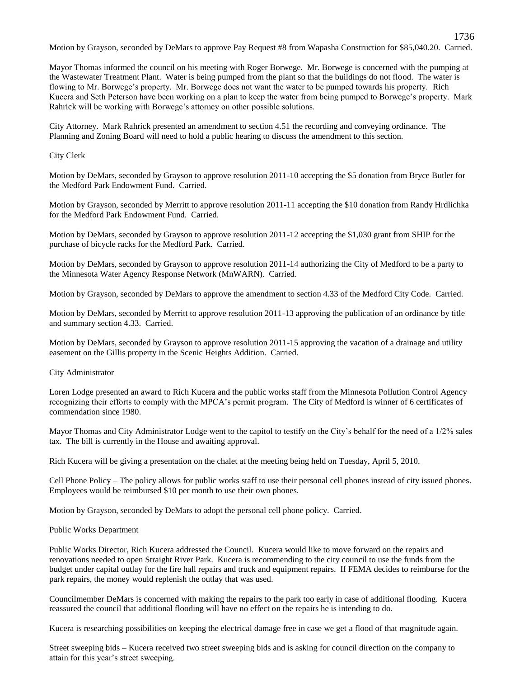Motion by Grayson, seconded by DeMars to approve Pay Request #8 from Wapasha Construction for \$85,040.20. Carried.

1736

Mayor Thomas informed the council on his meeting with Roger Borwege. Mr. Borwege is concerned with the pumping at the Wastewater Treatment Plant. Water is being pumped from the plant so that the buildings do not flood. The water is flowing to Mr. Borwege's property. Mr. Borwege does not want the water to be pumped towards his property. Rich Kucera and Seth Peterson have been working on a plan to keep the water from being pumped to Borwege's property. Mark Rahrick will be working with Borwege's attorney on other possible solutions.

City Attorney. Mark Rahrick presented an amendment to section 4.51 the recording and conveying ordinance. The Planning and Zoning Board will need to hold a public hearing to discuss the amendment to this section.

# City Clerk

Motion by DeMars, seconded by Grayson to approve resolution 2011-10 accepting the \$5 donation from Bryce Butler for the Medford Park Endowment Fund. Carried.

Motion by Grayson, seconded by Merritt to approve resolution 2011-11 accepting the \$10 donation from Randy Hrdlichka for the Medford Park Endowment Fund. Carried.

Motion by DeMars, seconded by Grayson to approve resolution 2011-12 accepting the \$1,030 grant from SHIP for the purchase of bicycle racks for the Medford Park. Carried.

Motion by DeMars, seconded by Grayson to approve resolution 2011-14 authorizing the City of Medford to be a party to the Minnesota Water Agency Response Network (MnWARN). Carried.

Motion by Grayson, seconded by DeMars to approve the amendment to section 4.33 of the Medford City Code. Carried.

Motion by DeMars, seconded by Merritt to approve resolution 2011-13 approving the publication of an ordinance by title and summary section 4.33. Carried.

Motion by DeMars, seconded by Grayson to approve resolution 2011-15 approving the vacation of a drainage and utility easement on the Gillis property in the Scenic Heights Addition. Carried.

### City Administrator

Loren Lodge presented an award to Rich Kucera and the public works staff from the Minnesota Pollution Control Agency recognizing their efforts to comply with the MPCA's permit program. The City of Medford is winner of 6 certificates of commendation since 1980.

Mayor Thomas and City Administrator Lodge went to the capitol to testify on the City's behalf for the need of a 1/2% sales tax. The bill is currently in the House and awaiting approval.

Rich Kucera will be giving a presentation on the chalet at the meeting being held on Tuesday, April 5, 2010.

Cell Phone Policy – The policy allows for public works staff to use their personal cell phones instead of city issued phones. Employees would be reimbursed \$10 per month to use their own phones.

Motion by Grayson, seconded by DeMars to adopt the personal cell phone policy. Carried.

# Public Works Department

Public Works Director, Rich Kucera addressed the Council. Kucera would like to move forward on the repairs and renovations needed to open Straight River Park. Kucera is recommending to the city council to use the funds from the budget under capital outlay for the fire hall repairs and truck and equipment repairs. If FEMA decides to reimburse for the park repairs, the money would replenish the outlay that was used.

Councilmember DeMars is concerned with making the repairs to the park too early in case of additional flooding. Kucera reassured the council that additional flooding will have no effect on the repairs he is intending to do.

Kucera is researching possibilities on keeping the electrical damage free in case we get a flood of that magnitude again.

Street sweeping bids – Kucera received two street sweeping bids and is asking for council direction on the company to attain for this year's street sweeping.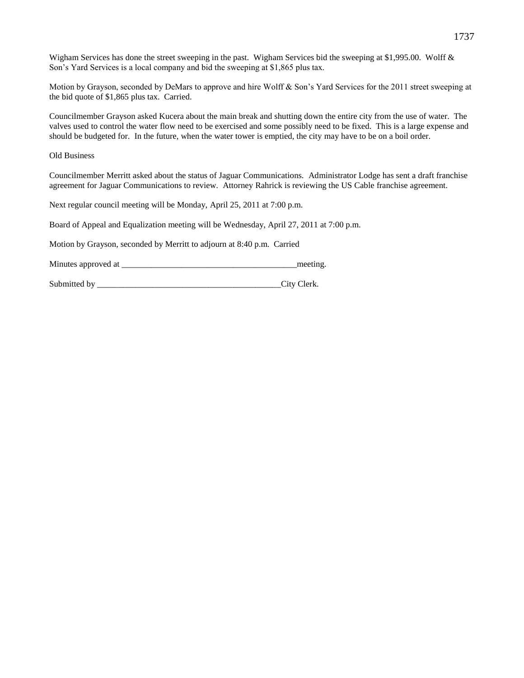Wigham Services has done the street sweeping in the past. Wigham Services bid the sweeping at \$1,995.00. Wolff & Son's Yard Services is a local company and bid the sweeping at \$1,865 plus tax.

Motion by Grayson, seconded by DeMars to approve and hire Wolff & Son's Yard Services for the 2011 street sweeping at the bid quote of \$1,865 plus tax. Carried.

Councilmember Grayson asked Kucera about the main break and shutting down the entire city from the use of water. The valves used to control the water flow need to be exercised and some possibly need to be fixed. This is a large expense and should be budgeted for. In the future, when the water tower is emptied, the city may have to be on a boil order.

Old Business

Councilmember Merritt asked about the status of Jaguar Communications. Administrator Lodge has sent a draft franchise agreement for Jaguar Communications to review. Attorney Rahrick is reviewing the US Cable franchise agreement.

Next regular council meeting will be Monday, April 25, 2011 at 7:00 p.m.

Board of Appeal and Equalization meeting will be Wednesday, April 27, 2011 at 7:00 p.m.

Motion by Grayson, seconded by Merritt to adjourn at 8:40 p.m. Carried

Minutes approved at \_\_\_\_\_\_\_\_\_\_\_\_\_\_\_\_\_\_\_\_\_\_\_\_\_\_\_\_\_\_\_\_\_\_\_\_\_\_\_\_\_meeting.

Submitted by  $\qquad \qquad \text{City} \text{Clerk.}$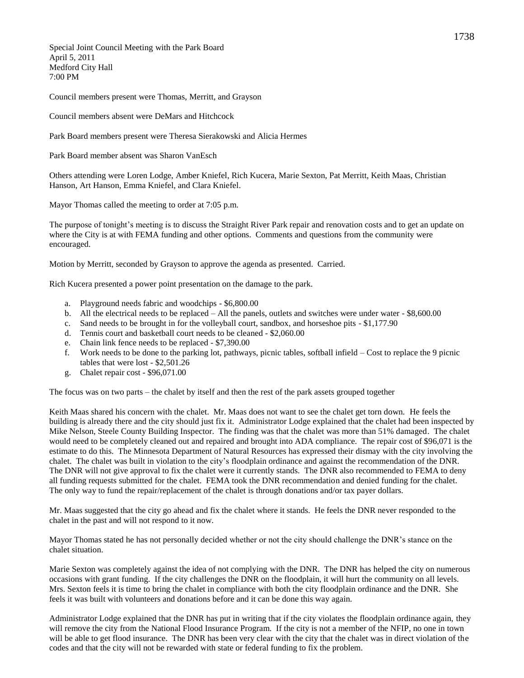Special Joint Council Meeting with the Park Board April 5, 2011 Medford City Hall 7:00 PM

Council members present were Thomas, Merritt, and Grayson

Council members absent were DeMars and Hitchcock

Park Board members present were Theresa Sierakowski and Alicia Hermes

Park Board member absent was Sharon VanEsch

Others attending were Loren Lodge, Amber Kniefel, Rich Kucera, Marie Sexton, Pat Merritt, Keith Maas, Christian Hanson, Art Hanson, Emma Kniefel, and Clara Kniefel.

Mayor Thomas called the meeting to order at 7:05 p.m.

The purpose of tonight's meeting is to discuss the Straight River Park repair and renovation costs and to get an update on where the City is at with FEMA funding and other options. Comments and questions from the community were encouraged.

Motion by Merritt, seconded by Grayson to approve the agenda as presented. Carried.

Rich Kucera presented a power point presentation on the damage to the park.

- a. Playground needs fabric and woodchips \$6,800.00
- b. All the electrical needs to be replaced All the panels, outlets and switches were under water \$8,600.00
- c. Sand needs to be brought in for the volleyball court, sandbox, and horseshoe pits \$1,177.90
- d. Tennis court and basketball court needs to be cleaned \$2,060.00
- e. Chain link fence needs to be replaced \$7,390.00
- f. Work needs to be done to the parking lot, pathways, picnic tables, softball infield Cost to replace the 9 picnic tables that were lost - \$2,501.26
- g. Chalet repair cost \$96,071.00

The focus was on two parts – the chalet by itself and then the rest of the park assets grouped together

Keith Maas shared his concern with the chalet. Mr. Maas does not want to see the chalet get torn down. He feels the building is already there and the city should just fix it. Administrator Lodge explained that the chalet had been inspected by Mike Nelson, Steele County Building Inspector. The finding was that the chalet was more than 51% damaged. The chalet would need to be completely cleaned out and repaired and brought into ADA compliance. The repair cost of \$96,071 is the estimate to do this. The Minnesota Department of Natural Resources has expressed their dismay with the city involving the chalet. The chalet was built in violation to the city's floodplain ordinance and against the recommendation of the DNR. The DNR will not give approval to fix the chalet were it currently stands. The DNR also recommended to FEMA to deny all funding requests submitted for the chalet. FEMA took the DNR recommendation and denied funding for the chalet. The only way to fund the repair/replacement of the chalet is through donations and/or tax payer dollars.

Mr. Maas suggested that the city go ahead and fix the chalet where it stands. He feels the DNR never responded to the chalet in the past and will not respond to it now.

Mayor Thomas stated he has not personally decided whether or not the city should challenge the DNR's stance on the chalet situation.

Marie Sexton was completely against the idea of not complying with the DNR. The DNR has helped the city on numerous occasions with grant funding. If the city challenges the DNR on the floodplain, it will hurt the community on all levels. Mrs. Sexton feels it is time to bring the chalet in compliance with both the city floodplain ordinance and the DNR. She feels it was built with volunteers and donations before and it can be done this way again.

Administrator Lodge explained that the DNR has put in writing that if the city violates the floodplain ordinance again, they will remove the city from the National Flood Insurance Program. If the city is not a member of the NFIP, no one in town will be able to get flood insurance. The DNR has been very clear with the city that the chalet was in direct violation of the codes and that the city will not be rewarded with state or federal funding to fix the problem.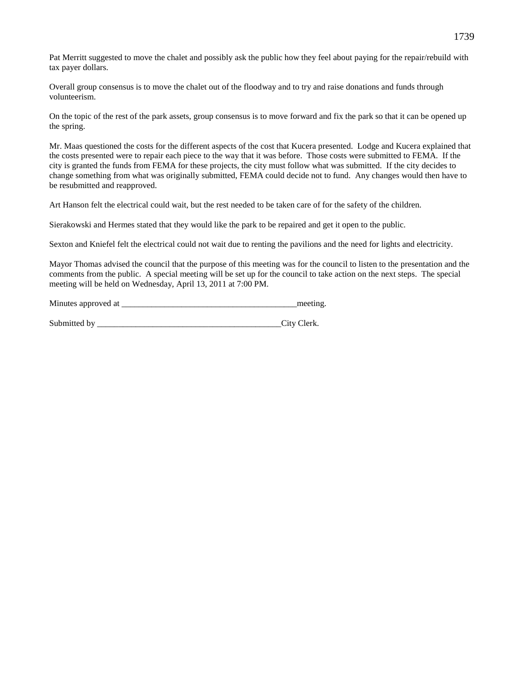Pat Merritt suggested to move the chalet and possibly ask the public how they feel about paying for the repair/rebuild with tax payer dollars.

Overall group consensus is to move the chalet out of the floodway and to try and raise donations and funds through volunteerism.

On the topic of the rest of the park assets, group consensus is to move forward and fix the park so that it can be opened up the spring.

Mr. Maas questioned the costs for the different aspects of the cost that Kucera presented. Lodge and Kucera explained that the costs presented were to repair each piece to the way that it was before. Those costs were submitted to FEMA. If the city is granted the funds from FEMA for these projects, the city must follow what was submitted. If the city decides to change something from what was originally submitted, FEMA could decide not to fund. Any changes would then have to be resubmitted and reapproved.

Art Hanson felt the electrical could wait, but the rest needed to be taken care of for the safety of the children.

Sierakowski and Hermes stated that they would like the park to be repaired and get it open to the public.

Sexton and Kniefel felt the electrical could not wait due to renting the pavilions and the need for lights and electricity.

Mayor Thomas advised the council that the purpose of this meeting was for the council to listen to the presentation and the comments from the public. A special meeting will be set up for the council to take action on the next steps. The special meeting will be held on Wednesday, April 13, 2011 at 7:00 PM.

| Minutes approved at | meeting. |
|---------------------|----------|
|                     |          |

| Submitted by |  |  | City Clerk. |
|--------------|--|--|-------------|
|--------------|--|--|-------------|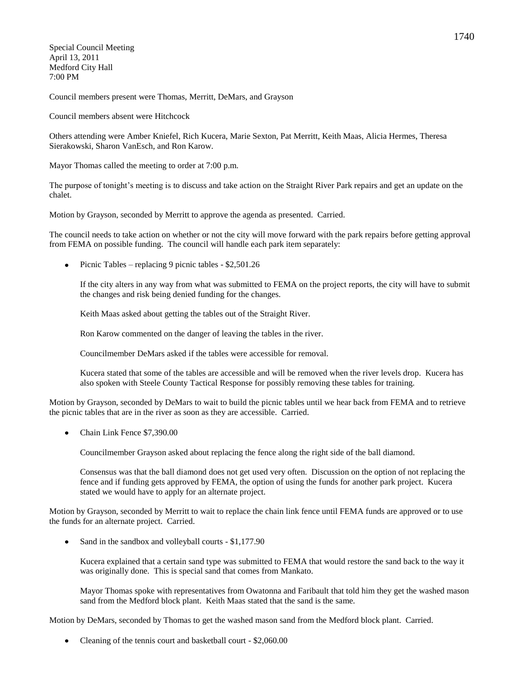Special Council Meeting April 13, 2011 Medford City Hall 7:00 PM

Council members present were Thomas, Merritt, DeMars, and Grayson

Council members absent were Hitchcock

Others attending were Amber Kniefel, Rich Kucera, Marie Sexton, Pat Merritt, Keith Maas, Alicia Hermes, Theresa Sierakowski, Sharon VanEsch, and Ron Karow.

Mayor Thomas called the meeting to order at 7:00 p.m.

The purpose of tonight's meeting is to discuss and take action on the Straight River Park repairs and get an update on the chalet.

Motion by Grayson, seconded by Merritt to approve the agenda as presented. Carried.

The council needs to take action on whether or not the city will move forward with the park repairs before getting approval from FEMA on possible funding. The council will handle each park item separately:

• Picnic Tables – replacing 9 picnic tables -  $$2,501.26$ 

If the city alters in any way from what was submitted to FEMA on the project reports, the city will have to submit the changes and risk being denied funding for the changes.

Keith Maas asked about getting the tables out of the Straight River.

Ron Karow commented on the danger of leaving the tables in the river.

Councilmember DeMars asked if the tables were accessible for removal.

Kucera stated that some of the tables are accessible and will be removed when the river levels drop. Kucera has also spoken with Steele County Tactical Response for possibly removing these tables for training.

Motion by Grayson, seconded by DeMars to wait to build the picnic tables until we hear back from FEMA and to retrieve the picnic tables that are in the river as soon as they are accessible. Carried.

Chain Link Fence \$7,390.00

Councilmember Grayson asked about replacing the fence along the right side of the ball diamond.

Consensus was that the ball diamond does not get used very often. Discussion on the option of not replacing the fence and if funding gets approved by FEMA, the option of using the funds for another park project. Kucera stated we would have to apply for an alternate project.

Motion by Grayson, seconded by Merritt to wait to replace the chain link fence until FEMA funds are approved or to use the funds for an alternate project. Carried.

Sand in the sandbox and volleyball courts - \$1,177.90

Kucera explained that a certain sand type was submitted to FEMA that would restore the sand back to the way it was originally done. This is special sand that comes from Mankato.

Mayor Thomas spoke with representatives from Owatonna and Faribault that told him they get the washed mason sand from the Medford block plant. Keith Maas stated that the sand is the same.

Motion by DeMars, seconded by Thomas to get the washed mason sand from the Medford block plant. Carried.

Cleaning of the tennis court and basketball court - \$2,060.00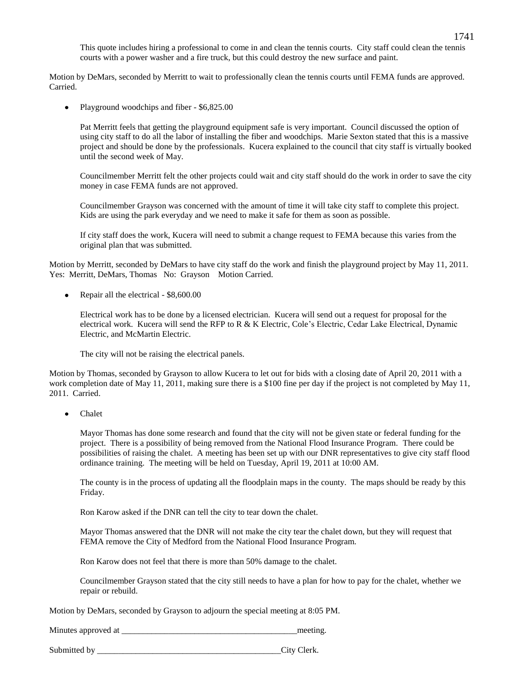This quote includes hiring a professional to come in and clean the tennis courts. City staff could clean the tennis courts with a power washer and a fire truck, but this could destroy the new surface and paint.

Motion by DeMars, seconded by Merritt to wait to professionally clean the tennis courts until FEMA funds are approved. Carried.

Playground woodchips and fiber - \$6,825.00  $\bullet$ 

Pat Merritt feels that getting the playground equipment safe is very important. Council discussed the option of using city staff to do all the labor of installing the fiber and woodchips. Marie Sexton stated that this is a massive project and should be done by the professionals. Kucera explained to the council that city staff is virtually booked until the second week of May.

Councilmember Merritt felt the other projects could wait and city staff should do the work in order to save the city money in case FEMA funds are not approved.

Councilmember Grayson was concerned with the amount of time it will take city staff to complete this project. Kids are using the park everyday and we need to make it safe for them as soon as possible.

If city staff does the work, Kucera will need to submit a change request to FEMA because this varies from the original plan that was submitted.

Motion by Merritt, seconded by DeMars to have city staff do the work and finish the playground project by May 11, 2011. Yes: Merritt, DeMars, Thomas No: Grayson Motion Carried.

 $\bullet$ Repair all the electrical - \$8,600.00

> Electrical work has to be done by a licensed electrician. Kucera will send out a request for proposal for the electrical work. Kucera will send the RFP to R & K Electric, Cole's Electric, Cedar Lake Electrical, Dynamic Electric, and McMartin Electric.

The city will not be raising the electrical panels.

Motion by Thomas, seconded by Grayson to allow Kucera to let out for bids with a closing date of April 20, 2011 with a work completion date of May 11, 2011, making sure there is a \$100 fine per day if the project is not completed by May 11, 2011. Carried.

Chalet

Mayor Thomas has done some research and found that the city will not be given state or federal funding for the project. There is a possibility of being removed from the National Flood Insurance Program. There could be possibilities of raising the chalet. A meeting has been set up with our DNR representatives to give city staff flood ordinance training. The meeting will be held on Tuesday, April 19, 2011 at 10:00 AM.

The county is in the process of updating all the floodplain maps in the county. The maps should be ready by this Friday.

Ron Karow asked if the DNR can tell the city to tear down the chalet.

Mayor Thomas answered that the DNR will not make the city tear the chalet down, but they will request that FEMA remove the City of Medford from the National Flood Insurance Program.

Ron Karow does not feel that there is more than 50% damage to the chalet.

Councilmember Grayson stated that the city still needs to have a plan for how to pay for the chalet, whether we repair or rebuild.

Motion by DeMars, seconded by Grayson to adjourn the special meeting at 8:05 PM.

Minutes approved at the meeting.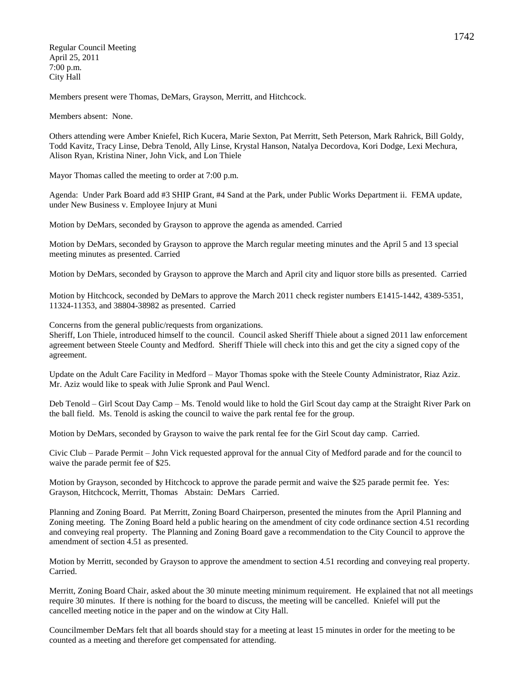Regular Council Meeting April 25, 2011 7:00 p.m. City Hall

Members present were Thomas, DeMars, Grayson, Merritt, and Hitchcock.

Members absent: None.

Others attending were Amber Kniefel, Rich Kucera, Marie Sexton, Pat Merritt, Seth Peterson, Mark Rahrick, Bill Goldy, Todd Kavitz, Tracy Linse, Debra Tenold, Ally Linse, Krystal Hanson, Natalya Decordova, Kori Dodge, Lexi Mechura, Alison Ryan, Kristina Niner, John Vick, and Lon Thiele

Mayor Thomas called the meeting to order at 7:00 p.m.

Agenda: Under Park Board add #3 SHIP Grant, #4 Sand at the Park, under Public Works Department ii. FEMA update, under New Business v. Employee Injury at Muni

Motion by DeMars, seconded by Grayson to approve the agenda as amended. Carried

Motion by DeMars, seconded by Grayson to approve the March regular meeting minutes and the April 5 and 13 special meeting minutes as presented. Carried

Motion by DeMars, seconded by Grayson to approve the March and April city and liquor store bills as presented. Carried

Motion by Hitchcock, seconded by DeMars to approve the March 2011 check register numbers E1415-1442, 4389-5351, 11324-11353, and 38804-38982 as presented. Carried

Concerns from the general public/requests from organizations.

Sheriff, Lon Thiele, introduced himself to the council. Council asked Sheriff Thiele about a signed 2011 law enforcement agreement between Steele County and Medford. Sheriff Thiele will check into this and get the city a signed copy of the agreement.

Update on the Adult Care Facility in Medford – Mayor Thomas spoke with the Steele County Administrator, Riaz Aziz. Mr. Aziz would like to speak with Julie Spronk and Paul Wencl.

Deb Tenold – Girl Scout Day Camp – Ms. Tenold would like to hold the Girl Scout day camp at the Straight River Park on the ball field. Ms. Tenold is asking the council to waive the park rental fee for the group.

Motion by DeMars, seconded by Grayson to waive the park rental fee for the Girl Scout day camp. Carried.

Civic Club – Parade Permit – John Vick requested approval for the annual City of Medford parade and for the council to waive the parade permit fee of \$25.

Motion by Grayson, seconded by Hitchcock to approve the parade permit and waive the \$25 parade permit fee. Yes: Grayson, Hitchcock, Merritt, Thomas Abstain: DeMars Carried.

Planning and Zoning Board. Pat Merritt, Zoning Board Chairperson, presented the minutes from the April Planning and Zoning meeting. The Zoning Board held a public hearing on the amendment of city code ordinance section 4.51 recording and conveying real property. The Planning and Zoning Board gave a recommendation to the City Council to approve the amendment of section 4.51 as presented.

Motion by Merritt, seconded by Grayson to approve the amendment to section 4.51 recording and conveying real property. Carried.

Merritt, Zoning Board Chair, asked about the 30 minute meeting minimum requirement. He explained that not all meetings require 30 minutes. If there is nothing for the board to discuss, the meeting will be cancelled. Kniefel will put the cancelled meeting notice in the paper and on the window at City Hall.

Councilmember DeMars felt that all boards should stay for a meeting at least 15 minutes in order for the meeting to be counted as a meeting and therefore get compensated for attending.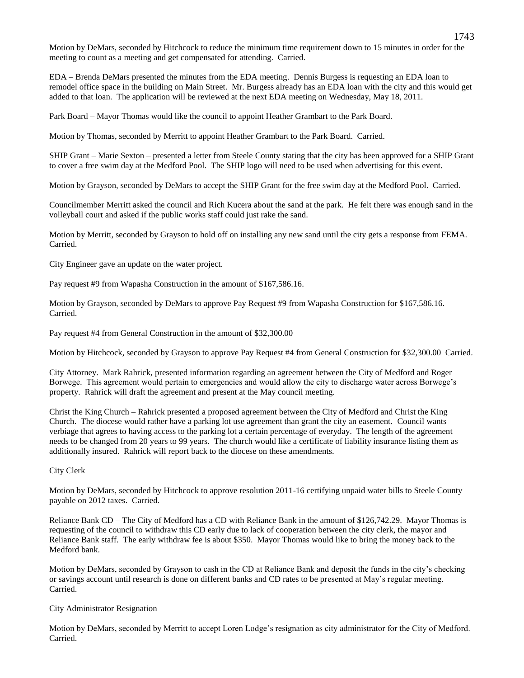Motion by DeMars, seconded by Hitchcock to reduce the minimum time requirement down to 15 minutes in order for the meeting to count as a meeting and get compensated for attending. Carried.

EDA – Brenda DeMars presented the minutes from the EDA meeting. Dennis Burgess is requesting an EDA loan to remodel office space in the building on Main Street. Mr. Burgess already has an EDA loan with the city and this would get added to that loan. The application will be reviewed at the next EDA meeting on Wednesday, May 18, 2011.

Park Board – Mayor Thomas would like the council to appoint Heather Grambart to the Park Board.

Motion by Thomas, seconded by Merritt to appoint Heather Grambart to the Park Board. Carried.

SHIP Grant – Marie Sexton – presented a letter from Steele County stating that the city has been approved for a SHIP Grant to cover a free swim day at the Medford Pool. The SHIP logo will need to be used when advertising for this event.

Motion by Grayson, seconded by DeMars to accept the SHIP Grant for the free swim day at the Medford Pool. Carried.

Councilmember Merritt asked the council and Rich Kucera about the sand at the park. He felt there was enough sand in the volleyball court and asked if the public works staff could just rake the sand.

Motion by Merritt, seconded by Grayson to hold off on installing any new sand until the city gets a response from FEMA. Carried.

City Engineer gave an update on the water project.

Pay request #9 from Wapasha Construction in the amount of \$167,586.16.

Motion by Grayson, seconded by DeMars to approve Pay Request #9 from Wapasha Construction for \$167,586.16. Carried.

Pay request #4 from General Construction in the amount of \$32,300.00

Motion by Hitchcock, seconded by Grayson to approve Pay Request #4 from General Construction for \$32,300.00 Carried.

City Attorney. Mark Rahrick, presented information regarding an agreement between the City of Medford and Roger Borwege. This agreement would pertain to emergencies and would allow the city to discharge water across Borwege's property. Rahrick will draft the agreement and present at the May council meeting.

Christ the King Church – Rahrick presented a proposed agreement between the City of Medford and Christ the King Church. The diocese would rather have a parking lot use agreement than grant the city an easement. Council wants verbiage that agrees to having access to the parking lot a certain percentage of everyday. The length of the agreement needs to be changed from 20 years to 99 years. The church would like a certificate of liability insurance listing them as additionally insured. Rahrick will report back to the diocese on these amendments.

City Clerk

Motion by DeMars, seconded by Hitchcock to approve resolution 2011-16 certifying unpaid water bills to Steele County payable on 2012 taxes. Carried.

Reliance Bank CD – The City of Medford has a CD with Reliance Bank in the amount of \$126,742.29. Mayor Thomas is requesting of the council to withdraw this CD early due to lack of cooperation between the city clerk, the mayor and Reliance Bank staff. The early withdraw fee is about \$350. Mayor Thomas would like to bring the money back to the Medford bank.

Motion by DeMars, seconded by Grayson to cash in the CD at Reliance Bank and deposit the funds in the city's checking or savings account until research is done on different banks and CD rates to be presented at May's regular meeting. Carried.

### City Administrator Resignation

Motion by DeMars, seconded by Merritt to accept Loren Lodge's resignation as city administrator for the City of Medford. Carried.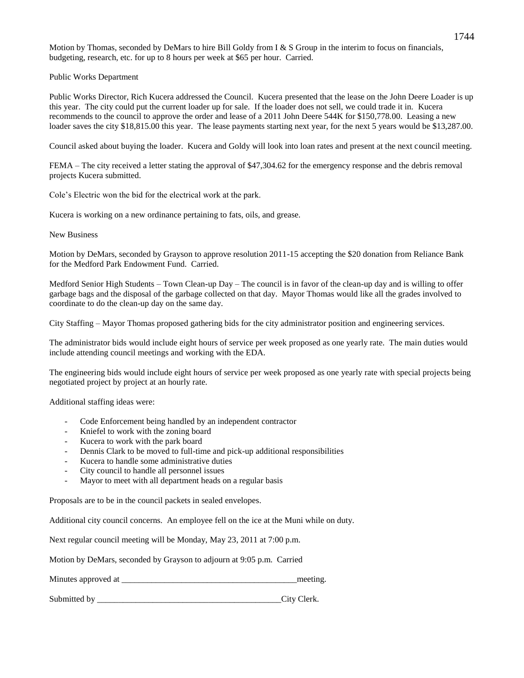Motion by Thomas, seconded by DeMars to hire Bill Goldy from  $I \& S$  Group in the interim to focus on financials, budgeting, research, etc. for up to 8 hours per week at \$65 per hour. Carried.

Public Works Department

Public Works Director, Rich Kucera addressed the Council. Kucera presented that the lease on the John Deere Loader is up this year. The city could put the current loader up for sale. If the loader does not sell, we could trade it in. Kucera recommends to the council to approve the order and lease of a 2011 John Deere 544K for \$150,778.00. Leasing a new loader saves the city \$18,815.00 this year. The lease payments starting next year, for the next 5 years would be \$13,287.00.

Council asked about buying the loader. Kucera and Goldy will look into loan rates and present at the next council meeting.

FEMA – The city received a letter stating the approval of \$47,304.62 for the emergency response and the debris removal projects Kucera submitted.

Cole's Electric won the bid for the electrical work at the park.

Kucera is working on a new ordinance pertaining to fats, oils, and grease.

New Business

Motion by DeMars, seconded by Grayson to approve resolution 2011-15 accepting the \$20 donation from Reliance Bank for the Medford Park Endowment Fund. Carried.

Medford Senior High Students – Town Clean-up Day – The council is in favor of the clean-up day and is willing to offer garbage bags and the disposal of the garbage collected on that day. Mayor Thomas would like all the grades involved to coordinate to do the clean-up day on the same day.

City Staffing – Mayor Thomas proposed gathering bids for the city administrator position and engineering services.

The administrator bids would include eight hours of service per week proposed as one yearly rate. The main duties would include attending council meetings and working with the EDA.

The engineering bids would include eight hours of service per week proposed as one yearly rate with special projects being negotiated project by project at an hourly rate.

Additional staffing ideas were:

- Code Enforcement being handled by an independent contractor
- Kniefel to work with the zoning board
- Kucera to work with the park board
- Dennis Clark to be moved to full-time and pick-up additional responsibilities
- Kucera to handle some administrative duties
- City council to handle all personnel issues
- Mayor to meet with all department heads on a regular basis

Proposals are to be in the council packets in sealed envelopes.

Additional city council concerns. An employee fell on the ice at the Muni while on duty.

Next regular council meeting will be Monday, May 23, 2011 at 7:00 p.m.

Motion by DeMars, seconded by Grayson to adjourn at 9:05 p.m. Carried

Minutes approved at \_\_\_\_\_\_\_\_\_\_\_\_\_\_\_\_\_\_\_\_\_\_\_\_\_\_\_\_\_\_\_\_\_\_\_\_\_\_\_\_\_meeting.

Submitted by  $\qquad \qquad \text{City Clark}.$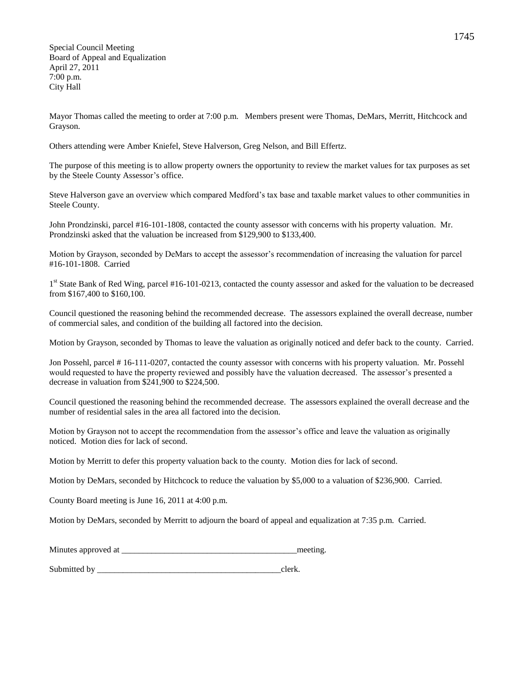Special Council Meeting Board of Appeal and Equalization April 27, 2011 7:00 p.m. City Hall

Mayor Thomas called the meeting to order at 7:00 p.m. Members present were Thomas, DeMars, Merritt, Hitchcock and Grayson.

Others attending were Amber Kniefel, Steve Halverson, Greg Nelson, and Bill Effertz.

The purpose of this meeting is to allow property owners the opportunity to review the market values for tax purposes as set by the Steele County Assessor's office.

Steve Halverson gave an overview which compared Medford's tax base and taxable market values to other communities in Steele County.

John Prondzinski, parcel #16-101-1808, contacted the county assessor with concerns with his property valuation. Mr. Prondzinski asked that the valuation be increased from \$129,900 to \$133,400.

Motion by Grayson, seconded by DeMars to accept the assessor's recommendation of increasing the valuation for parcel #16-101-1808. Carried

1<sup>st</sup> State Bank of Red Wing, parcel #16-101-0213, contacted the county assessor and asked for the valuation to be decreased from \$167,400 to \$160,100.

Council questioned the reasoning behind the recommended decrease. The assessors explained the overall decrease, number of commercial sales, and condition of the building all factored into the decision.

Motion by Grayson, seconded by Thomas to leave the valuation as originally noticed and defer back to the county. Carried.

Jon Possehl, parcel # 16-111-0207, contacted the county assessor with concerns with his property valuation. Mr. Possehl would requested to have the property reviewed and possibly have the valuation decreased. The assessor's presented a decrease in valuation from \$241,900 to \$224,500.

Council questioned the reasoning behind the recommended decrease. The assessors explained the overall decrease and the number of residential sales in the area all factored into the decision.

Motion by Grayson not to accept the recommendation from the assessor's office and leave the valuation as originally noticed. Motion dies for lack of second.

Motion by Merritt to defer this property valuation back to the county. Motion dies for lack of second.

Motion by DeMars, seconded by Hitchcock to reduce the valuation by \$5,000 to a valuation of \$236,900. Carried.

County Board meeting is June 16, 2011 at 4:00 p.m.

Motion by DeMars, seconded by Merritt to adjourn the board of appeal and equalization at 7:35 p.m. Carried.

| Minutes approved at | meeting |
|---------------------|---------|
|                     |         |

Submitted by clerk.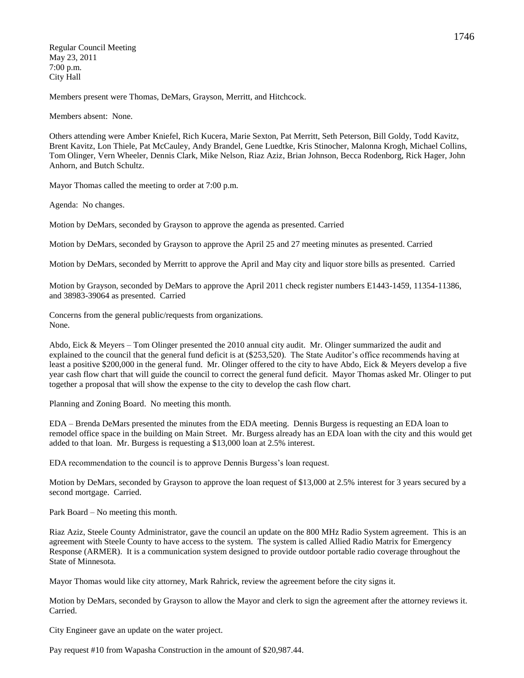Regular Council Meeting May 23, 2011 7:00 p.m. City Hall

Members present were Thomas, DeMars, Grayson, Merritt, and Hitchcock.

Members absent: None.

Others attending were Amber Kniefel, Rich Kucera, Marie Sexton, Pat Merritt, Seth Peterson, Bill Goldy, Todd Kavitz, Brent Kavitz, Lon Thiele, Pat McCauley, Andy Brandel, Gene Luedtke, Kris Stinocher, Malonna Krogh, Michael Collins, Tom Olinger, Vern Wheeler, Dennis Clark, Mike Nelson, Riaz Aziz, Brian Johnson, Becca Rodenborg, Rick Hager, John Anhorn, and Butch Schultz.

Mayor Thomas called the meeting to order at 7:00 p.m.

Agenda: No changes.

Motion by DeMars, seconded by Grayson to approve the agenda as presented. Carried

Motion by DeMars, seconded by Grayson to approve the April 25 and 27 meeting minutes as presented. Carried

Motion by DeMars, seconded by Merritt to approve the April and May city and liquor store bills as presented. Carried

Motion by Grayson, seconded by DeMars to approve the April 2011 check register numbers E1443-1459, 11354-11386, and 38983-39064 as presented. Carried

Concerns from the general public/requests from organizations. None.

Abdo, Eick & Meyers – Tom Olinger presented the 2010 annual city audit. Mr. Olinger summarized the audit and explained to the council that the general fund deficit is at (\$253,520). The State Auditor's office recommends having at least a positive \$200,000 in the general fund. Mr. Olinger offered to the city to have Abdo, Eick & Meyers develop a five year cash flow chart that will guide the council to correct the general fund deficit. Mayor Thomas asked Mr. Olinger to put together a proposal that will show the expense to the city to develop the cash flow chart.

Planning and Zoning Board. No meeting this month.

EDA – Brenda DeMars presented the minutes from the EDA meeting. Dennis Burgess is requesting an EDA loan to remodel office space in the building on Main Street. Mr. Burgess already has an EDA loan with the city and this would get added to that loan. Mr. Burgess is requesting a \$13,000 loan at 2.5% interest.

EDA recommendation to the council is to approve Dennis Burgess's loan request.

Motion by DeMars, seconded by Grayson to approve the loan request of \$13,000 at 2.5% interest for 3 years secured by a second mortgage. Carried.

Park Board – No meeting this month.

Riaz Aziz, Steele County Administrator, gave the council an update on the 800 MHz Radio System agreement. This is an agreement with Steele County to have access to the system. The system is called Allied Radio Matrix for Emergency Response (ARMER). It is a communication system designed to provide outdoor portable radio coverage throughout the State of Minnesota.

Mayor Thomas would like city attorney, Mark Rahrick, review the agreement before the city signs it.

Motion by DeMars, seconded by Grayson to allow the Mayor and clerk to sign the agreement after the attorney reviews it. Carried.

City Engineer gave an update on the water project.

Pay request #10 from Wapasha Construction in the amount of \$20,987.44.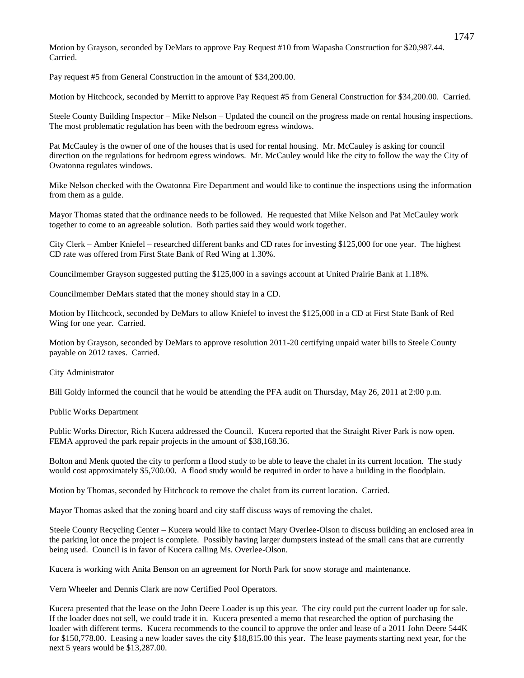Motion by Grayson, seconded by DeMars to approve Pay Request #10 from Wapasha Construction for \$20,987.44. Carried.

Pay request #5 from General Construction in the amount of \$34,200.00.

Motion by Hitchcock, seconded by Merritt to approve Pay Request #5 from General Construction for \$34,200.00. Carried.

Steele County Building Inspector – Mike Nelson – Updated the council on the progress made on rental housing inspections. The most problematic regulation has been with the bedroom egress windows.

Pat McCauley is the owner of one of the houses that is used for rental housing. Mr. McCauley is asking for council direction on the regulations for bedroom egress windows. Mr. McCauley would like the city to follow the way the City of Owatonna regulates windows.

Mike Nelson checked with the Owatonna Fire Department and would like to continue the inspections using the information from them as a guide.

Mayor Thomas stated that the ordinance needs to be followed. He requested that Mike Nelson and Pat McCauley work together to come to an agreeable solution. Both parties said they would work together.

City Clerk – Amber Kniefel – researched different banks and CD rates for investing \$125,000 for one year. The highest CD rate was offered from First State Bank of Red Wing at 1.30%.

Councilmember Grayson suggested putting the \$125,000 in a savings account at United Prairie Bank at 1.18%.

Councilmember DeMars stated that the money should stay in a CD.

Motion by Hitchcock, seconded by DeMars to allow Kniefel to invest the \$125,000 in a CD at First State Bank of Red Wing for one year. Carried.

Motion by Grayson, seconded by DeMars to approve resolution 2011-20 certifying unpaid water bills to Steele County payable on 2012 taxes. Carried.

City Administrator

Bill Goldy informed the council that he would be attending the PFA audit on Thursday, May 26, 2011 at 2:00 p.m.

Public Works Department

Public Works Director, Rich Kucera addressed the Council. Kucera reported that the Straight River Park is now open. FEMA approved the park repair projects in the amount of \$38,168.36.

Bolton and Menk quoted the city to perform a flood study to be able to leave the chalet in its current location. The study would cost approximately \$5,700.00. A flood study would be required in order to have a building in the floodplain.

Motion by Thomas, seconded by Hitchcock to remove the chalet from its current location. Carried.

Mayor Thomas asked that the zoning board and city staff discuss ways of removing the chalet.

Steele County Recycling Center – Kucera would like to contact Mary Overlee-Olson to discuss building an enclosed area in the parking lot once the project is complete. Possibly having larger dumpsters instead of the small cans that are currently being used. Council is in favor of Kucera calling Ms. Overlee-Olson.

Kucera is working with Anita Benson on an agreement for North Park for snow storage and maintenance.

Vern Wheeler and Dennis Clark are now Certified Pool Operators.

Kucera presented that the lease on the John Deere Loader is up this year. The city could put the current loader up for sale. If the loader does not sell, we could trade it in. Kucera presented a memo that researched the option of purchasing the loader with different terms. Kucera recommends to the council to approve the order and lease of a 2011 John Deere 544K for \$150,778.00. Leasing a new loader saves the city \$18,815.00 this year. The lease payments starting next year, for the next 5 years would be \$13,287.00.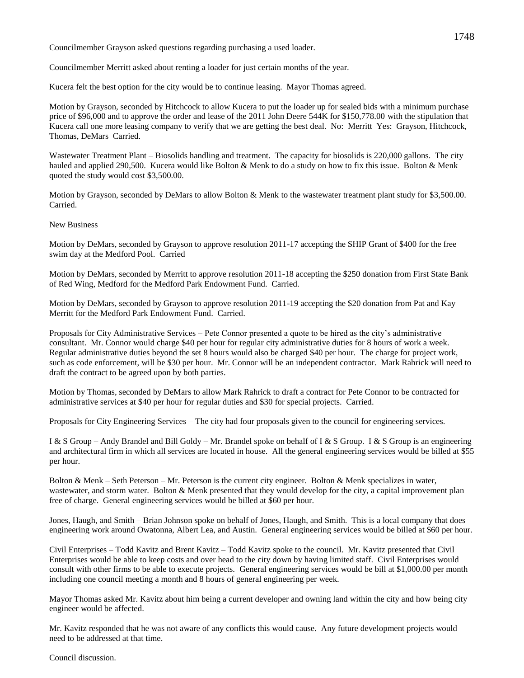Councilmember Grayson asked questions regarding purchasing a used loader.

Councilmember Merritt asked about renting a loader for just certain months of the year.

Kucera felt the best option for the city would be to continue leasing. Mayor Thomas agreed.

Motion by Grayson, seconded by Hitchcock to allow Kucera to put the loader up for sealed bids with a minimum purchase price of \$96,000 and to approve the order and lease of the 2011 John Deere 544K for \$150,778.00 with the stipulation that Kucera call one more leasing company to verify that we are getting the best deal. No: Merritt Yes: Grayson, Hitchcock, Thomas, DeMars Carried.

Wastewater Treatment Plant – Biosolids handling and treatment. The capacity for biosolids is 220,000 gallons. The city hauled and applied 290,500. Kucera would like Bolton & Menk to do a study on how to fix this issue. Bolton & Menk quoted the study would cost \$3,500.00.

Motion by Grayson, seconded by DeMars to allow Bolton & Menk to the wastewater treatment plant study for \$3,500.00. Carried.

# New Business

Motion by DeMars, seconded by Grayson to approve resolution 2011-17 accepting the SHIP Grant of \$400 for the free swim day at the Medford Pool. Carried

Motion by DeMars, seconded by Merritt to approve resolution 2011-18 accepting the \$250 donation from First State Bank of Red Wing, Medford for the Medford Park Endowment Fund. Carried.

Motion by DeMars, seconded by Grayson to approve resolution 2011-19 accepting the \$20 donation from Pat and Kay Merritt for the Medford Park Endowment Fund. Carried.

Proposals for City Administrative Services – Pete Connor presented a quote to be hired as the city's administrative consultant. Mr. Connor would charge \$40 per hour for regular city administrative duties for 8 hours of work a week. Regular administrative duties beyond the set 8 hours would also be charged \$40 per hour. The charge for project work, such as code enforcement, will be \$30 per hour. Mr. Connor will be an independent contractor. Mark Rahrick will need to draft the contract to be agreed upon by both parties.

Motion by Thomas, seconded by DeMars to allow Mark Rahrick to draft a contract for Pete Connor to be contracted for administrative services at \$40 per hour for regular duties and \$30 for special projects. Carried.

Proposals for City Engineering Services – The city had four proposals given to the council for engineering services.

I & S Group – Andy Brandel and Bill Goldy – Mr. Brandel spoke on behalf of I & S Group. I & S Group is an engineering and architectural firm in which all services are located in house. All the general engineering services would be billed at \$55 per hour.

Bolton & Menk – Seth Peterson – Mr. Peterson is the current city engineer. Bolton & Menk specializes in water, wastewater, and storm water. Bolton & Menk presented that they would develop for the city, a capital improvement plan free of charge. General engineering services would be billed at \$60 per hour.

Jones, Haugh, and Smith – Brian Johnson spoke on behalf of Jones, Haugh, and Smith. This is a local company that does engineering work around Owatonna, Albert Lea, and Austin. General engineering services would be billed at \$60 per hour.

Civil Enterprises – Todd Kavitz and Brent Kavitz – Todd Kavitz spoke to the council. Mr. Kavitz presented that Civil Enterprises would be able to keep costs and over head to the city down by having limited staff. Civil Enterprises would consult with other firms to be able to execute projects. General engineering services would be bill at \$1,000.00 per month including one council meeting a month and 8 hours of general engineering per week.

Mayor Thomas asked Mr. Kavitz about him being a current developer and owning land within the city and how being city engineer would be affected.

Mr. Kavitz responded that he was not aware of any conflicts this would cause. Any future development projects would need to be addressed at that time.

Council discussion.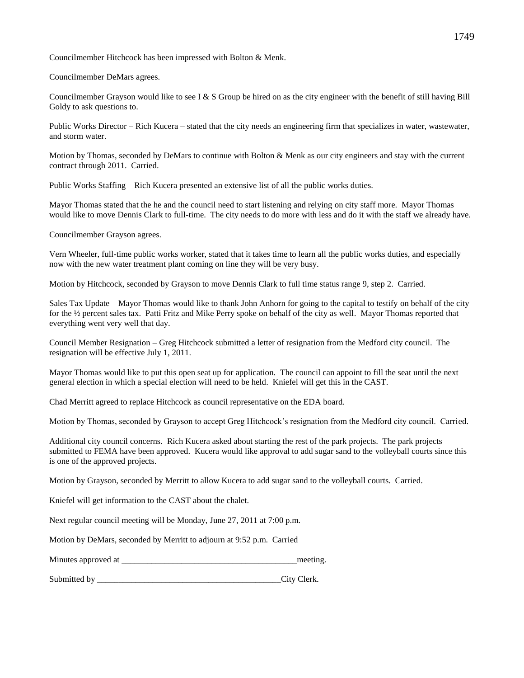Councilmember Hitchcock has been impressed with Bolton & Menk.

Councilmember DeMars agrees.

Councilmember Grayson would like to see I & S Group be hired on as the city engineer with the benefit of still having Bill Goldy to ask questions to.

Public Works Director – Rich Kucera – stated that the city needs an engineering firm that specializes in water, wastewater, and storm water.

Motion by Thomas, seconded by DeMars to continue with Bolton & Menk as our city engineers and stay with the current contract through 2011. Carried.

Public Works Staffing – Rich Kucera presented an extensive list of all the public works duties.

Mayor Thomas stated that the he and the council need to start listening and relying on city staff more. Mayor Thomas would like to move Dennis Clark to full-time. The city needs to do more with less and do it with the staff we already have.

Councilmember Grayson agrees.

Vern Wheeler, full-time public works worker, stated that it takes time to learn all the public works duties, and especially now with the new water treatment plant coming on line they will be very busy.

Motion by Hitchcock, seconded by Grayson to move Dennis Clark to full time status range 9, step 2. Carried.

Sales Tax Update – Mayor Thomas would like to thank John Anhorn for going to the capital to testify on behalf of the city for the ½ percent sales tax. Patti Fritz and Mike Perry spoke on behalf of the city as well. Mayor Thomas reported that everything went very well that day.

Council Member Resignation – Greg Hitchcock submitted a letter of resignation from the Medford city council. The resignation will be effective July 1, 2011.

Mayor Thomas would like to put this open seat up for application. The council can appoint to fill the seat until the next general election in which a special election will need to be held. Kniefel will get this in the CAST.

Chad Merritt agreed to replace Hitchcock as council representative on the EDA board.

Motion by Thomas, seconded by Grayson to accept Greg Hitchcock's resignation from the Medford city council. Carried.

Additional city council concerns. Rich Kucera asked about starting the rest of the park projects. The park projects submitted to FEMA have been approved. Kucera would like approval to add sugar sand to the volleyball courts since this is one of the approved projects.

Motion by Grayson, seconded by Merritt to allow Kucera to add sugar sand to the volleyball courts. Carried.

Kniefel will get information to the CAST about the chalet.

Next regular council meeting will be Monday, June 27, 2011 at 7:00 p.m.

Motion by DeMars, seconded by Merritt to adjourn at 9:52 p.m. Carried

| Minutes approved at |  | meeting |
|---------------------|--|---------|
|---------------------|--|---------|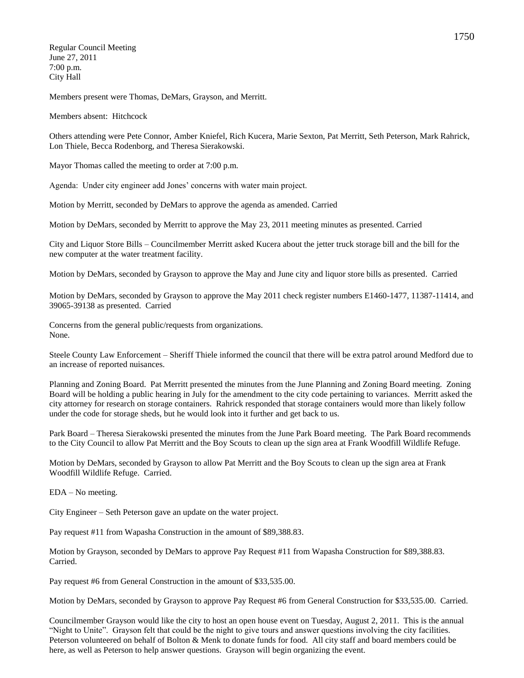Regular Council Meeting June 27, 2011 7:00 p.m. City Hall

Members present were Thomas, DeMars, Grayson, and Merritt.

Members absent: Hitchcock

Others attending were Pete Connor, Amber Kniefel, Rich Kucera, Marie Sexton, Pat Merritt, Seth Peterson, Mark Rahrick, Lon Thiele, Becca Rodenborg, and Theresa Sierakowski.

Mayor Thomas called the meeting to order at 7:00 p.m.

Agenda: Under city engineer add Jones' concerns with water main project.

Motion by Merritt, seconded by DeMars to approve the agenda as amended. Carried

Motion by DeMars, seconded by Merritt to approve the May 23, 2011 meeting minutes as presented. Carried

City and Liquor Store Bills – Councilmember Merritt asked Kucera about the jetter truck storage bill and the bill for the new computer at the water treatment facility.

Motion by DeMars, seconded by Grayson to approve the May and June city and liquor store bills as presented. Carried

Motion by DeMars, seconded by Grayson to approve the May 2011 check register numbers E1460-1477, 11387-11414, and 39065-39138 as presented. Carried

Concerns from the general public/requests from organizations. None.

Steele County Law Enforcement – Sheriff Thiele informed the council that there will be extra patrol around Medford due to an increase of reported nuisances.

Planning and Zoning Board. Pat Merritt presented the minutes from the June Planning and Zoning Board meeting. Zoning Board will be holding a public hearing in July for the amendment to the city code pertaining to variances. Merritt asked the city attorney for research on storage containers. Rahrick responded that storage containers would more than likely follow under the code for storage sheds, but he would look into it further and get back to us.

Park Board – Theresa Sierakowski presented the minutes from the June Park Board meeting. The Park Board recommends to the City Council to allow Pat Merritt and the Boy Scouts to clean up the sign area at Frank Woodfill Wildlife Refuge.

Motion by DeMars, seconded by Grayson to allow Pat Merritt and the Boy Scouts to clean up the sign area at Frank Woodfill Wildlife Refuge. Carried.

EDA – No meeting.

City Engineer – Seth Peterson gave an update on the water project.

Pay request #11 from Wapasha Construction in the amount of \$89,388.83.

Motion by Grayson, seconded by DeMars to approve Pay Request #11 from Wapasha Construction for \$89,388.83. Carried.

Pay request #6 from General Construction in the amount of \$33,535.00.

Motion by DeMars, seconded by Grayson to approve Pay Request #6 from General Construction for \$33,535.00. Carried.

Councilmember Grayson would like the city to host an open house event on Tuesday, August 2, 2011. This is the annual "Night to Unite". Grayson felt that could be the night to give tours and answer questions involving the city facilities. Peterson volunteered on behalf of Bolton & Menk to donate funds for food. All city staff and board members could be here, as well as Peterson to help answer questions. Grayson will begin organizing the event.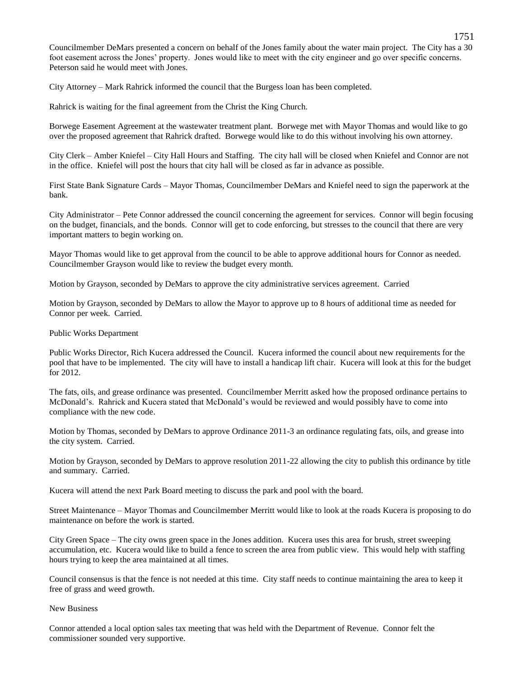Councilmember DeMars presented a concern on behalf of the Jones family about the water main project. The City has a 30 foot easement across the Jones' property. Jones would like to meet with the city engineer and go over specific concerns. Peterson said he would meet with Jones.

City Attorney – Mark Rahrick informed the council that the Burgess loan has been completed.

Rahrick is waiting for the final agreement from the Christ the King Church.

Borwege Easement Agreement at the wastewater treatment plant. Borwege met with Mayor Thomas and would like to go over the proposed agreement that Rahrick drafted. Borwege would like to do this without involving his own attorney.

City Clerk – Amber Kniefel – City Hall Hours and Staffing. The city hall will be closed when Kniefel and Connor are not in the office. Kniefel will post the hours that city hall will be closed as far in advance as possible.

First State Bank Signature Cards – Mayor Thomas, Councilmember DeMars and Kniefel need to sign the paperwork at the bank.

City Administrator – Pete Connor addressed the council concerning the agreement for services. Connor will begin focusing on the budget, financials, and the bonds. Connor will get to code enforcing, but stresses to the council that there are very important matters to begin working on.

Mayor Thomas would like to get approval from the council to be able to approve additional hours for Connor as needed. Councilmember Grayson would like to review the budget every month.

Motion by Grayson, seconded by DeMars to approve the city administrative services agreement. Carried

Motion by Grayson, seconded by DeMars to allow the Mayor to approve up to 8 hours of additional time as needed for Connor per week. Carried.

#### Public Works Department

Public Works Director, Rich Kucera addressed the Council. Kucera informed the council about new requirements for the pool that have to be implemented. The city will have to install a handicap lift chair. Kucera will look at this for the budget for 2012.

The fats, oils, and grease ordinance was presented. Councilmember Merritt asked how the proposed ordinance pertains to McDonald's. Rahrick and Kucera stated that McDonald's would be reviewed and would possibly have to come into compliance with the new code.

Motion by Thomas, seconded by DeMars to approve Ordinance 2011-3 an ordinance regulating fats, oils, and grease into the city system. Carried.

Motion by Grayson, seconded by DeMars to approve resolution 2011-22 allowing the city to publish this ordinance by title and summary. Carried.

Kucera will attend the next Park Board meeting to discuss the park and pool with the board.

Street Maintenance – Mayor Thomas and Councilmember Merritt would like to look at the roads Kucera is proposing to do maintenance on before the work is started.

City Green Space – The city owns green space in the Jones addition. Kucera uses this area for brush, street sweeping accumulation, etc. Kucera would like to build a fence to screen the area from public view. This would help with staffing hours trying to keep the area maintained at all times.

Council consensus is that the fence is not needed at this time. City staff needs to continue maintaining the area to keep it free of grass and weed growth.

New Business

Connor attended a local option sales tax meeting that was held with the Department of Revenue. Connor felt the commissioner sounded very supportive.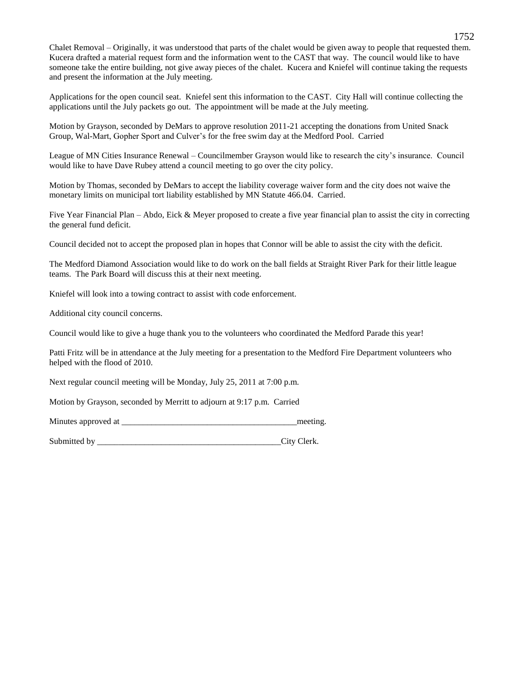Chalet Removal – Originally, it was understood that parts of the chalet would be given away to people that requested them. Kucera drafted a material request form and the information went to the CAST that way. The council would like to have someone take the entire building, not give away pieces of the chalet. Kucera and Kniefel will continue taking the requests and present the information at the July meeting.

Applications for the open council seat. Kniefel sent this information to the CAST. City Hall will continue collecting the applications until the July packets go out. The appointment will be made at the July meeting.

Motion by Grayson, seconded by DeMars to approve resolution 2011-21 accepting the donations from United Snack Group, Wal-Mart, Gopher Sport and Culver's for the free swim day at the Medford Pool. Carried

League of MN Cities Insurance Renewal – Councilmember Grayson would like to research the city's insurance. Council would like to have Dave Rubey attend a council meeting to go over the city policy.

Motion by Thomas, seconded by DeMars to accept the liability coverage waiver form and the city does not waive the monetary limits on municipal tort liability established by MN Statute 466.04. Carried.

Five Year Financial Plan – Abdo, Eick & Meyer proposed to create a five year financial plan to assist the city in correcting the general fund deficit.

Council decided not to accept the proposed plan in hopes that Connor will be able to assist the city with the deficit.

The Medford Diamond Association would like to do work on the ball fields at Straight River Park for their little league teams. The Park Board will discuss this at their next meeting.

Kniefel will look into a towing contract to assist with code enforcement.

Additional city council concerns.

Council would like to give a huge thank you to the volunteers who coordinated the Medford Parade this year!

Patti Fritz will be in attendance at the July meeting for a presentation to the Medford Fire Department volunteers who helped with the flood of 2010.

Next regular council meeting will be Monday, July 25, 2011 at 7:00 p.m.

Motion by Grayson, seconded by Merritt to adjourn at 9:17 p.m. Carried

Minutes approved at  $\blacksquare$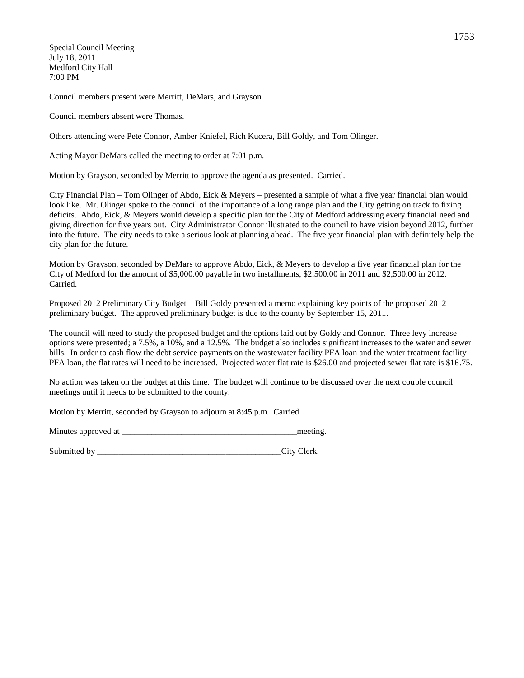Special Council Meeting July 18, 2011 Medford City Hall 7:00 PM

Council members present were Merritt, DeMars, and Grayson

Council members absent were Thomas.

Others attending were Pete Connor, Amber Kniefel, Rich Kucera, Bill Goldy, and Tom Olinger.

Acting Mayor DeMars called the meeting to order at 7:01 p.m.

Motion by Grayson, seconded by Merritt to approve the agenda as presented. Carried.

City Financial Plan – Tom Olinger of Abdo, Eick & Meyers – presented a sample of what a five year financial plan would look like. Mr. Olinger spoke to the council of the importance of a long range plan and the City getting on track to fixing deficits. Abdo, Eick, & Meyers would develop a specific plan for the City of Medford addressing every financial need and giving direction for five years out. City Administrator Connor illustrated to the council to have vision beyond 2012, further into the future. The city needs to take a serious look at planning ahead. The five year financial plan with definitely help the city plan for the future.

Motion by Grayson, seconded by DeMars to approve Abdo, Eick, & Meyers to develop a five year financial plan for the City of Medford for the amount of \$5,000.00 payable in two installments, \$2,500.00 in 2011 and \$2,500.00 in 2012. Carried.

Proposed 2012 Preliminary City Budget – Bill Goldy presented a memo explaining key points of the proposed 2012 preliminary budget. The approved preliminary budget is due to the county by September 15, 2011.

The council will need to study the proposed budget and the options laid out by Goldy and Connor. Three levy increase options were presented; a 7.5%, a 10%, and a 12.5%. The budget also includes significant increases to the water and sewer bills. In order to cash flow the debt service payments on the wastewater facility PFA loan and the water treatment facility PFA loan, the flat rates will need to be increased. Projected water flat rate is \$26.00 and projected sewer flat rate is \$16.75.

No action was taken on the budget at this time. The budget will continue to be discussed over the next couple council meetings until it needs to be submitted to the county.

Motion by Merritt, seconded by Grayson to adjourn at 8:45 p.m. Carried

Minutes approved at  $\blacksquare$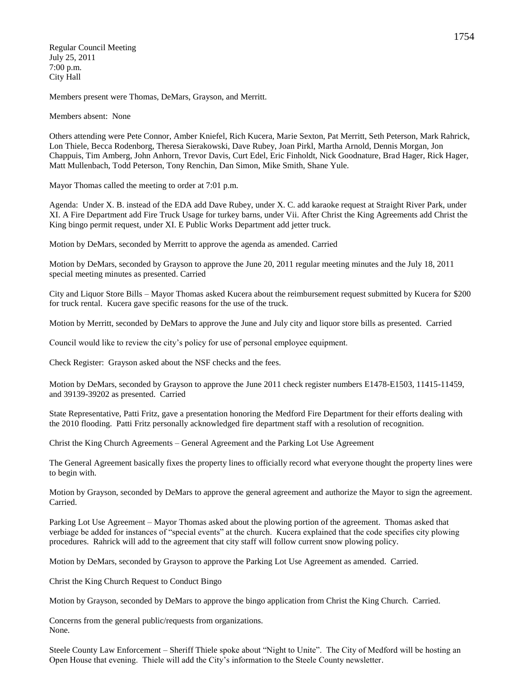Regular Council Meeting July 25, 2011 7:00 p.m. City Hall

Members present were Thomas, DeMars, Grayson, and Merritt.

Members absent: None

Others attending were Pete Connor, Amber Kniefel, Rich Kucera, Marie Sexton, Pat Merritt, Seth Peterson, Mark Rahrick, Lon Thiele, Becca Rodenborg, Theresa Sierakowski, Dave Rubey, Joan Pirkl, Martha Arnold, Dennis Morgan, Jon Chappuis, Tim Amberg, John Anhorn, Trevor Davis, Curt Edel, Eric Finholdt, Nick Goodnature, Brad Hager, Rick Hager, Matt Mullenbach, Todd Peterson, Tony Renchin, Dan Simon, Mike Smith, Shane Yule.

Mayor Thomas called the meeting to order at 7:01 p.m.

Agenda: Under X. B. instead of the EDA add Dave Rubey, under X. C. add karaoke request at Straight River Park, under XI. A Fire Department add Fire Truck Usage for turkey barns, under Vii. After Christ the King Agreements add Christ the King bingo permit request, under XI. E Public Works Department add jetter truck.

Motion by DeMars, seconded by Merritt to approve the agenda as amended. Carried

Motion by DeMars, seconded by Grayson to approve the June 20, 2011 regular meeting minutes and the July 18, 2011 special meeting minutes as presented. Carried

City and Liquor Store Bills – Mayor Thomas asked Kucera about the reimbursement request submitted by Kucera for \$200 for truck rental. Kucera gave specific reasons for the use of the truck.

Motion by Merritt, seconded by DeMars to approve the June and July city and liquor store bills as presented. Carried

Council would like to review the city's policy for use of personal employee equipment.

Check Register: Grayson asked about the NSF checks and the fees.

Motion by DeMars, seconded by Grayson to approve the June 2011 check register numbers E1478-E1503, 11415-11459, and 39139-39202 as presented. Carried

State Representative, Patti Fritz, gave a presentation honoring the Medford Fire Department for their efforts dealing with the 2010 flooding. Patti Fritz personally acknowledged fire department staff with a resolution of recognition.

Christ the King Church Agreements – General Agreement and the Parking Lot Use Agreement

The General Agreement basically fixes the property lines to officially record what everyone thought the property lines were to begin with.

Motion by Grayson, seconded by DeMars to approve the general agreement and authorize the Mayor to sign the agreement. Carried.

Parking Lot Use Agreement – Mayor Thomas asked about the plowing portion of the agreement. Thomas asked that verbiage be added for instances of "special events" at the church. Kucera explained that the code specifies city plowing procedures. Rahrick will add to the agreement that city staff will follow current snow plowing policy.

Motion by DeMars, seconded by Grayson to approve the Parking Lot Use Agreement as amended. Carried.

Christ the King Church Request to Conduct Bingo

Motion by Grayson, seconded by DeMars to approve the bingo application from Christ the King Church. Carried.

Concerns from the general public/requests from organizations. None.

Steele County Law Enforcement – Sheriff Thiele spoke about "Night to Unite". The City of Medford will be hosting an Open House that evening. Thiele will add the City's information to the Steele County newsletter.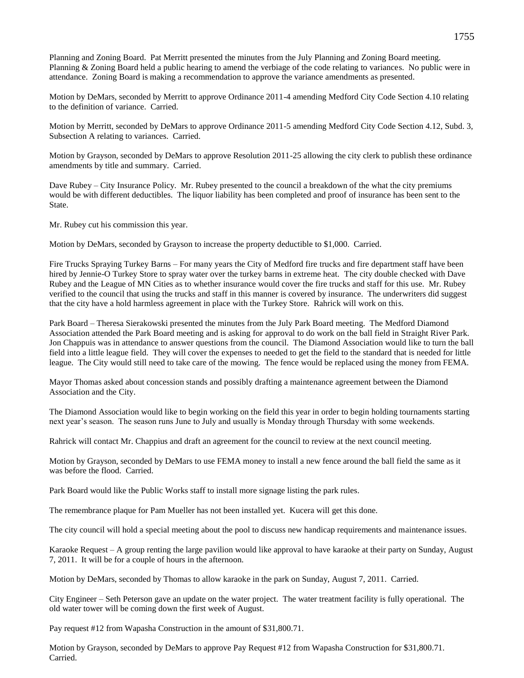Planning and Zoning Board. Pat Merritt presented the minutes from the July Planning and Zoning Board meeting. Planning & Zoning Board held a public hearing to amend the verbiage of the code relating to variances. No public were in attendance. Zoning Board is making a recommendation to approve the variance amendments as presented.

Motion by DeMars, seconded by Merritt to approve Ordinance 2011-4 amending Medford City Code Section 4.10 relating to the definition of variance. Carried.

Motion by Merritt, seconded by DeMars to approve Ordinance 2011-5 amending Medford City Code Section 4.12, Subd. 3, Subsection A relating to variances. Carried.

Motion by Grayson, seconded by DeMars to approve Resolution 2011-25 allowing the city clerk to publish these ordinance amendments by title and summary. Carried.

Dave Rubey – City Insurance Policy. Mr. Rubey presented to the council a breakdown of the what the city premiums would be with different deductibles. The liquor liability has been completed and proof of insurance has been sent to the State.

Mr. Rubey cut his commission this year.

Motion by DeMars, seconded by Grayson to increase the property deductible to \$1,000. Carried.

Fire Trucks Spraying Turkey Barns – For many years the City of Medford fire trucks and fire department staff have been hired by Jennie-O Turkey Store to spray water over the turkey barns in extreme heat. The city double checked with Dave Rubey and the League of MN Cities as to whether insurance would cover the fire trucks and staff for this use. Mr. Rubey verified to the council that using the trucks and staff in this manner is covered by insurance. The underwriters did suggest that the city have a hold harmless agreement in place with the Turkey Store. Rahrick will work on this.

Park Board – Theresa Sierakowski presented the minutes from the July Park Board meeting. The Medford Diamond Association attended the Park Board meeting and is asking for approval to do work on the ball field in Straight River Park. Jon Chappuis was in attendance to answer questions from the council. The Diamond Association would like to turn the ball field into a little league field. They will cover the expenses to needed to get the field to the standard that is needed for little league. The City would still need to take care of the mowing. The fence would be replaced using the money from FEMA.

Mayor Thomas asked about concession stands and possibly drafting a maintenance agreement between the Diamond Association and the City.

The Diamond Association would like to begin working on the field this year in order to begin holding tournaments starting next year's season. The season runs June to July and usually is Monday through Thursday with some weekends.

Rahrick will contact Mr. Chappius and draft an agreement for the council to review at the next council meeting.

Motion by Grayson, seconded by DeMars to use FEMA money to install a new fence around the ball field the same as it was before the flood. Carried.

Park Board would like the Public Works staff to install more signage listing the park rules.

The remembrance plaque for Pam Mueller has not been installed yet. Kucera will get this done.

The city council will hold a special meeting about the pool to discuss new handicap requirements and maintenance issues.

Karaoke Request – A group renting the large pavilion would like approval to have karaoke at their party on Sunday, August 7, 2011. It will be for a couple of hours in the afternoon.

Motion by DeMars, seconded by Thomas to allow karaoke in the park on Sunday, August 7, 2011. Carried.

City Engineer – Seth Peterson gave an update on the water project. The water treatment facility is fully operational. The old water tower will be coming down the first week of August.

Pay request #12 from Wapasha Construction in the amount of \$31,800.71.

Motion by Grayson, seconded by DeMars to approve Pay Request #12 from Wapasha Construction for \$31,800.71. Carried.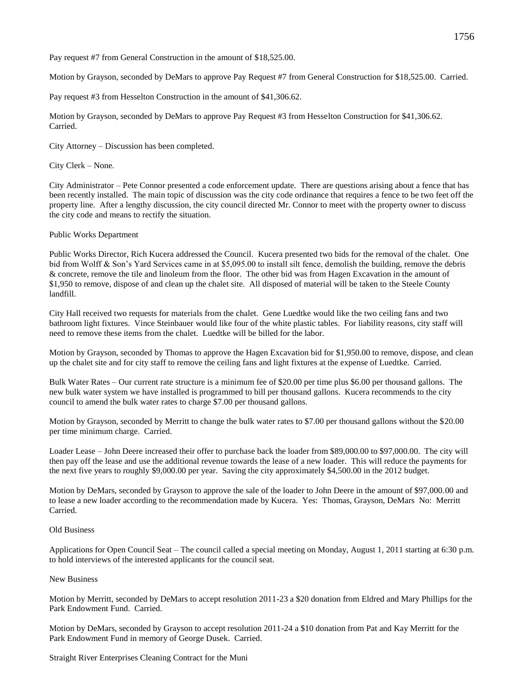Pay request #7 from General Construction in the amount of \$18,525.00.

Motion by Grayson, seconded by DeMars to approve Pay Request #7 from General Construction for \$18,525.00. Carried.

Pay request #3 from Hesselton Construction in the amount of \$41,306.62.

Motion by Grayson, seconded by DeMars to approve Pay Request #3 from Hesselton Construction for \$41,306.62. Carried.

City Attorney – Discussion has been completed.

City Clerk – None.

City Administrator – Pete Connor presented a code enforcement update. There are questions arising about a fence that has been recently installed. The main topic of discussion was the city code ordinance that requires a fence to be two feet off the property line. After a lengthy discussion, the city council directed Mr. Connor to meet with the property owner to discuss the city code and means to rectify the situation.

# Public Works Department

Public Works Director, Rich Kucera addressed the Council. Kucera presented two bids for the removal of the chalet. One bid from Wolff & Son's Yard Services came in at \$5,095.00 to install silt fence, demolish the building, remove the debris & concrete, remove the tile and linoleum from the floor. The other bid was from Hagen Excavation in the amount of \$1,950 to remove, dispose of and clean up the chalet site. All disposed of material will be taken to the Steele County landfill.

City Hall received two requests for materials from the chalet. Gene Luedtke would like the two ceiling fans and two bathroom light fixtures. Vince Steinbauer would like four of the white plastic tables. For liability reasons, city staff will need to remove these items from the chalet. Luedtke will be billed for the labor.

Motion by Grayson, seconded by Thomas to approve the Hagen Excavation bid for \$1,950.00 to remove, dispose, and clean up the chalet site and for city staff to remove the ceiling fans and light fixtures at the expense of Luedtke. Carried.

Bulk Water Rates – Our current rate structure is a minimum fee of \$20.00 per time plus \$6.00 per thousand gallons. The new bulk water system we have installed is programmed to bill per thousand gallons. Kucera recommends to the city council to amend the bulk water rates to charge \$7.00 per thousand gallons.

Motion by Grayson, seconded by Merritt to change the bulk water rates to \$7.00 per thousand gallons without the \$20.00 per time minimum charge. Carried.

Loader Lease – John Deere increased their offer to purchase back the loader from \$89,000.00 to \$97,000.00. The city will then pay off the lease and use the additional revenue towards the lease of a new loader. This will reduce the payments for the next five years to roughly \$9,000.00 per year. Saving the city approximately \$4,500.00 in the 2012 budget.

Motion by DeMars, seconded by Grayson to approve the sale of the loader to John Deere in the amount of \$97,000.00 and to lease a new loader according to the recommendation made by Kucera. Yes: Thomas, Grayson, DeMars No: Merritt Carried.

### Old Business

Applications for Open Council Seat – The council called a special meeting on Monday, August 1, 2011 starting at 6:30 p.m. to hold interviews of the interested applicants for the council seat.

### New Business

Motion by Merritt, seconded by DeMars to accept resolution 2011-23 a \$20 donation from Eldred and Mary Phillips for the Park Endowment Fund. Carried.

Motion by DeMars, seconded by Grayson to accept resolution 2011-24 a \$10 donation from Pat and Kay Merritt for the Park Endowment Fund in memory of George Dusek. Carried.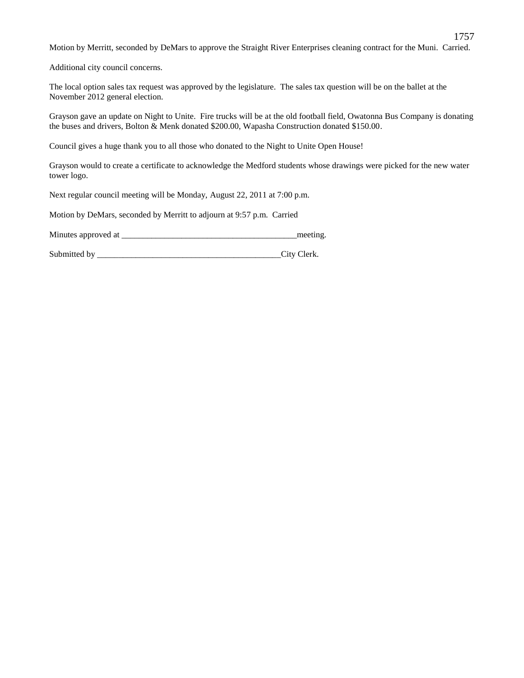Motion by Merritt, seconded by DeMars to approve the Straight River Enterprises cleaning contract for the Muni. Carried.

1757

Additional city council concerns.

The local option sales tax request was approved by the legislature. The sales tax question will be on the ballet at the November 2012 general election.

Grayson gave an update on Night to Unite. Fire trucks will be at the old football field, Owatonna Bus Company is donating the buses and drivers, Bolton & Menk donated \$200.00, Wapasha Construction donated \$150.00.

Council gives a huge thank you to all those who donated to the Night to Unite Open House!

Grayson would to create a certificate to acknowledge the Medford students whose drawings were picked for the new water tower logo.

Next regular council meeting will be Monday, August 22, 2011 at 7:00 p.m.

Motion by DeMars, seconded by Merritt to adjourn at 9:57 p.m. Carried

| Minutes approved at |  | meeting |
|---------------------|--|---------|
|---------------------|--|---------|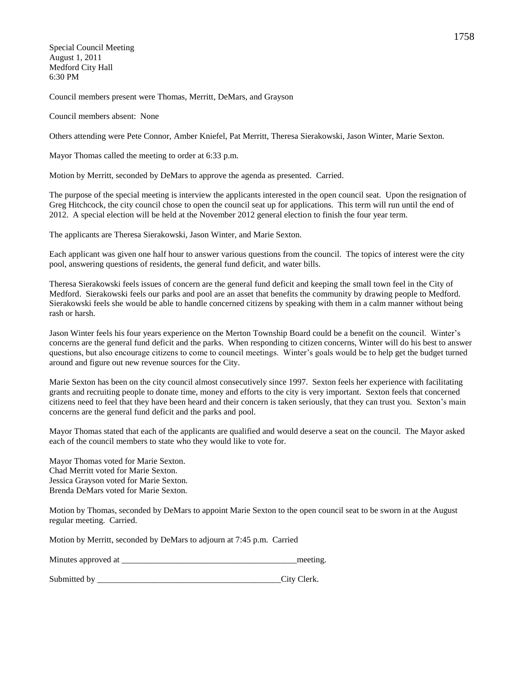Special Council Meeting August 1, 2011 Medford City Hall 6:30 PM

Council members present were Thomas, Merritt, DeMars, and Grayson

Council members absent: None

Others attending were Pete Connor, Amber Kniefel, Pat Merritt, Theresa Sierakowski, Jason Winter, Marie Sexton.

Mayor Thomas called the meeting to order at 6:33 p.m.

Motion by Merritt, seconded by DeMars to approve the agenda as presented. Carried.

The purpose of the special meeting is interview the applicants interested in the open council seat. Upon the resignation of Greg Hitchcock, the city council chose to open the council seat up for applications. This term will run until the end of 2012. A special election will be held at the November 2012 general election to finish the four year term.

The applicants are Theresa Sierakowski, Jason Winter, and Marie Sexton.

Each applicant was given one half hour to answer various questions from the council. The topics of interest were the city pool, answering questions of residents, the general fund deficit, and water bills.

Theresa Sierakowski feels issues of concern are the general fund deficit and keeping the small town feel in the City of Medford. Sierakowski feels our parks and pool are an asset that benefits the community by drawing people to Medford. Sierakowski feels she would be able to handle concerned citizens by speaking with them in a calm manner without being rash or harsh.

Jason Winter feels his four years experience on the Merton Township Board could be a benefit on the council. Winter's concerns are the general fund deficit and the parks. When responding to citizen concerns, Winter will do his best to answer questions, but also encourage citizens to come to council meetings. Winter's goals would be to help get the budget turned around and figure out new revenue sources for the City.

Marie Sexton has been on the city council almost consecutively since 1997. Sexton feels her experience with facilitating grants and recruiting people to donate time, money and efforts to the city is very important. Sexton feels that concerned citizens need to feel that they have been heard and their concern is taken seriously, that they can trust you. Sexton's main concerns are the general fund deficit and the parks and pool.

Mayor Thomas stated that each of the applicants are qualified and would deserve a seat on the council. The Mayor asked each of the council members to state who they would like to vote for.

Mayor Thomas voted for Marie Sexton. Chad Merritt voted for Marie Sexton. Jessica Grayson voted for Marie Sexton. Brenda DeMars voted for Marie Sexton.

Motion by Thomas, seconded by DeMars to appoint Marie Sexton to the open council seat to be sworn in at the August regular meeting. Carried.

Motion by Merritt, seconded by DeMars to adjourn at 7:45 p.m. Carried

| Minutes approved at | meeting. |
|---------------------|----------|
|                     |          |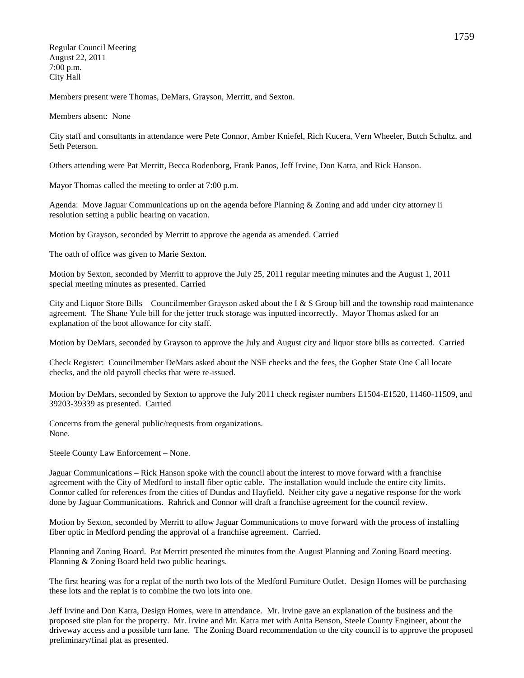Regular Council Meeting August 22, 2011 7:00 p.m. City Hall

Members present were Thomas, DeMars, Grayson, Merritt, and Sexton.

Members absent: None

City staff and consultants in attendance were Pete Connor, Amber Kniefel, Rich Kucera, Vern Wheeler, Butch Schultz, and Seth Peterson.

Others attending were Pat Merritt, Becca Rodenborg, Frank Panos, Jeff Irvine, Don Katra, and Rick Hanson.

Mayor Thomas called the meeting to order at 7:00 p.m.

Agenda: Move Jaguar Communications up on the agenda before Planning & Zoning and add under city attorney ii resolution setting a public hearing on vacation.

Motion by Grayson, seconded by Merritt to approve the agenda as amended. Carried

The oath of office was given to Marie Sexton.

Motion by Sexton, seconded by Merritt to approve the July 25, 2011 regular meeting minutes and the August 1, 2011 special meeting minutes as presented. Carried

City and Liquor Store Bills – Councilmember Grayson asked about the I & S Group bill and the township road maintenance agreement. The Shane Yule bill for the jetter truck storage was inputted incorrectly. Mayor Thomas asked for an explanation of the boot allowance for city staff.

Motion by DeMars, seconded by Grayson to approve the July and August city and liquor store bills as corrected. Carried

Check Register: Councilmember DeMars asked about the NSF checks and the fees, the Gopher State One Call locate checks, and the old payroll checks that were re-issued.

Motion by DeMars, seconded by Sexton to approve the July 2011 check register numbers E1504-E1520, 11460-11509, and 39203-39339 as presented. Carried

Concerns from the general public/requests from organizations. None.

Steele County Law Enforcement – None.

Jaguar Communications – Rick Hanson spoke with the council about the interest to move forward with a franchise agreement with the City of Medford to install fiber optic cable. The installation would include the entire city limits. Connor called for references from the cities of Dundas and Hayfield. Neither city gave a negative response for the work done by Jaguar Communications. Rahrick and Connor will draft a franchise agreement for the council review.

Motion by Sexton, seconded by Merritt to allow Jaguar Communications to move forward with the process of installing fiber optic in Medford pending the approval of a franchise agreement. Carried.

Planning and Zoning Board. Pat Merritt presented the minutes from the August Planning and Zoning Board meeting. Planning & Zoning Board held two public hearings.

The first hearing was for a replat of the north two lots of the Medford Furniture Outlet. Design Homes will be purchasing these lots and the replat is to combine the two lots into one.

Jeff Irvine and Don Katra, Design Homes, were in attendance. Mr. Irvine gave an explanation of the business and the proposed site plan for the property. Mr. Irvine and Mr. Katra met with Anita Benson, Steele County Engineer, about the driveway access and a possible turn lane. The Zoning Board recommendation to the city council is to approve the proposed preliminary/final plat as presented.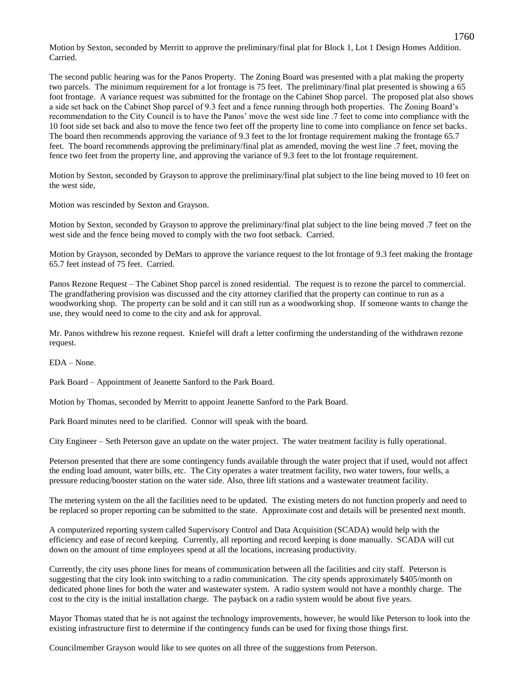Motion by Sexton, seconded by Merritt to approve the preliminary/final plat for Block 1, Lot 1 Design Homes Addition. Carried.

The second public hearing was for the Panos Property. The Zoning Board was presented with a plat making the property two parcels. The minimum requirement for a lot frontage is 75 feet. The preliminary/final plat presented is showing a 65 foot frontage. A variance request was submitted for the frontage on the Cabinet Shop parcel. The proposed plat also shows a side set back on the Cabinet Shop parcel of 9.3 feet and a fence running through both properties. The Zoning Board's recommendation to the City Council is to have the Panos' move the west side line .7 feet to come into compliance with the 10 foot side set back and also to move the fence two feet off the property line to come into compliance on fence set backs. The board then recommends approving the variance of 9.3 feet to the lot frontage requirement making the frontage 65.7 feet. The board recommends approving the preliminary/final plat as amended, moving the west line .7 feet, moving the fence two feet from the property line, and approving the variance of 9.3 feet to the lot frontage requirement.

Motion by Sexton, seconded by Grayson to approve the preliminary/final plat subject to the line being moved to 10 feet on the west side,

Motion was rescinded by Sexton and Grayson.

Motion by Sexton, seconded by Grayson to approve the preliminary/final plat subject to the line being moved .7 feet on the west side and the fence being moved to comply with the two foot setback. Carried.

Motion by Grayson, seconded by DeMars to approve the variance request to the lot frontage of 9.3 feet making the frontage 65.7 feet instead of 75 feet. Carried.

Panos Rezone Request – The Cabinet Shop parcel is zoned residential. The request is to rezone the parcel to commercial. The grandfathering provision was discussed and the city attorney clarified that the property can continue to run as a woodworking shop. The property can be sold and it can still run as a woodworking shop. If someone wants to change the use, they would need to come to the city and ask for approval.

Mr. Panos withdrew his rezone request. Kniefel will draft a letter confirming the understanding of the withdrawn rezone request.

EDA – None.

Park Board – Appointment of Jeanette Sanford to the Park Board.

Motion by Thomas, seconded by Merritt to appoint Jeanette Sanford to the Park Board.

Park Board minutes need to be clarified. Connor will speak with the board.

City Engineer – Seth Peterson gave an update on the water project. The water treatment facility is fully operational.

Peterson presented that there are some contingency funds available through the water project that if used, would not affect the ending load amount, water bills, etc. The City operates a water treatment facility, two water towers, four wells, a pressure reducing/booster station on the water side. Also, three lift stations and a wastewater treatment facility.

The metering system on the all the facilities need to be updated. The existing meters do not function properly and need to be replaced so proper reporting can be submitted to the state. Approximate cost and details will be presented next month.

A computerized reporting system called Supervisory Control and Data Acquisition (SCADA) would help with the efficiency and ease of record keeping. Currently, all reporting and record keeping is done manually. SCADA will cut down on the amount of time employees spend at all the locations, increasing productivity.

Currently, the city uses phone lines for means of communication between all the facilities and city staff. Peterson is suggesting that the city look into switching to a radio communication. The city spends approximately \$405/month on dedicated phone lines for both the water and wastewater system. A radio system would not have a monthly charge. The cost to the city is the initial installation charge. The payback on a radio system would be about five years.

Mayor Thomas stated that he is not against the technology improvements, however, he would like Peterson to look into the existing infrastructure first to determine if the contingency funds can be used for fixing those things first.

Councilmember Grayson would like to see quotes on all three of the suggestions from Peterson.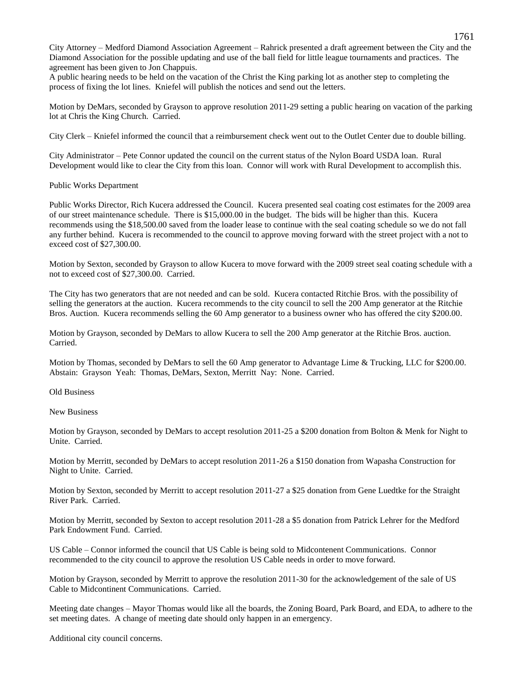City Attorney – Medford Diamond Association Agreement – Rahrick presented a draft agreement between the City and the Diamond Association for the possible updating and use of the ball field for little league tournaments and practices. The agreement has been given to Jon Chappuis.

A public hearing needs to be held on the vacation of the Christ the King parking lot as another step to completing the process of fixing the lot lines. Kniefel will publish the notices and send out the letters.

Motion by DeMars, seconded by Grayson to approve resolution 2011-29 setting a public hearing on vacation of the parking lot at Chris the King Church. Carried.

City Clerk – Kniefel informed the council that a reimbursement check went out to the Outlet Center due to double billing.

City Administrator – Pete Connor updated the council on the current status of the Nylon Board USDA loan. Rural Development would like to clear the City from this loan. Connor will work with Rural Development to accomplish this.

Public Works Department

Public Works Director, Rich Kucera addressed the Council. Kucera presented seal coating cost estimates for the 2009 area of our street maintenance schedule. There is \$15,000.00 in the budget. The bids will be higher than this. Kucera recommends using the \$18,500.00 saved from the loader lease to continue with the seal coating schedule so we do not fall any further behind. Kucera is recommended to the council to approve moving forward with the street project with a not to exceed cost of \$27,300.00.

Motion by Sexton, seconded by Grayson to allow Kucera to move forward with the 2009 street seal coating schedule with a not to exceed cost of \$27,300.00. Carried.

The City has two generators that are not needed and can be sold. Kucera contacted Ritchie Bros. with the possibility of selling the generators at the auction. Kucera recommends to the city council to sell the 200 Amp generator at the Ritchie Bros. Auction. Kucera recommends selling the 60 Amp generator to a business owner who has offered the city \$200.00.

Motion by Grayson, seconded by DeMars to allow Kucera to sell the 200 Amp generator at the Ritchie Bros. auction. Carried.

Motion by Thomas, seconded by DeMars to sell the 60 Amp generator to Advantage Lime & Trucking, LLC for \$200.00. Abstain: Grayson Yeah: Thomas, DeMars, Sexton, Merritt Nay: None. Carried.

Old Business

New Business

Motion by Grayson, seconded by DeMars to accept resolution 2011-25 a \$200 donation from Bolton & Menk for Night to Unite. Carried.

Motion by Merritt, seconded by DeMars to accept resolution 2011-26 a \$150 donation from Wapasha Construction for Night to Unite. Carried.

Motion by Sexton, seconded by Merritt to accept resolution 2011-27 a \$25 donation from Gene Luedtke for the Straight River Park. Carried.

Motion by Merritt, seconded by Sexton to accept resolution 2011-28 a \$5 donation from Patrick Lehrer for the Medford Park Endowment Fund. Carried.

US Cable – Connor informed the council that US Cable is being sold to Midcontenent Communications. Connor recommended to the city council to approve the resolution US Cable needs in order to move forward.

Motion by Grayson, seconded by Merritt to approve the resolution 2011-30 for the acknowledgement of the sale of US Cable to Midcontinent Communications. Carried.

Meeting date changes – Mayor Thomas would like all the boards, the Zoning Board, Park Board, and EDA, to adhere to the set meeting dates. A change of meeting date should only happen in an emergency.

Additional city council concerns.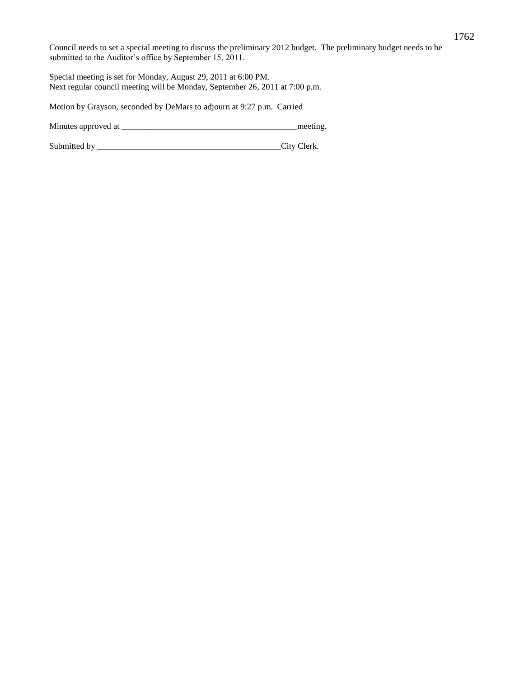Council needs to set a special meeting to discuss the preliminary 2012 budget. The preliminary budget needs to be submitted to the Auditor's office by September 15, 2011.

Special meeting is set for Monday, August 29, 2011 at 6:00 PM. Next regular council meeting will be Monday, September 26, 2011 at 7:00 p.m.

Motion by Grayson, seconded by DeMars to adjourn at 9:27 p.m. Carried

Minutes approved at \_\_\_\_\_\_\_\_\_\_\_\_\_\_\_\_\_\_\_\_\_\_\_\_\_\_\_\_\_\_\_\_\_\_\_\_\_\_\_\_\_meeting.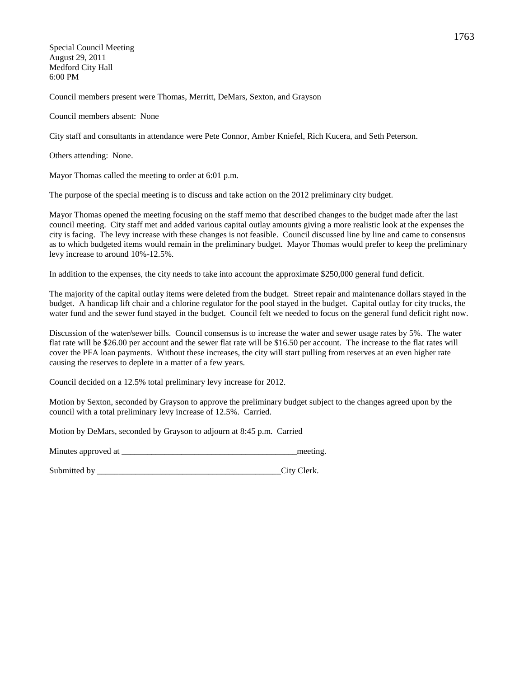Special Council Meeting August 29, 2011 Medford City Hall 6:00 PM

Council members present were Thomas, Merritt, DeMars, Sexton, and Grayson

Council members absent: None

City staff and consultants in attendance were Pete Connor, Amber Kniefel, Rich Kucera, and Seth Peterson.

Others attending: None.

Mayor Thomas called the meeting to order at 6:01 p.m.

The purpose of the special meeting is to discuss and take action on the 2012 preliminary city budget.

Mayor Thomas opened the meeting focusing on the staff memo that described changes to the budget made after the last council meeting. City staff met and added various capital outlay amounts giving a more realistic look at the expenses the city is facing. The levy increase with these changes is not feasible. Council discussed line by line and came to consensus as to which budgeted items would remain in the preliminary budget. Mayor Thomas would prefer to keep the preliminary levy increase to around 10%-12.5%.

In addition to the expenses, the city needs to take into account the approximate \$250,000 general fund deficit.

The majority of the capital outlay items were deleted from the budget. Street repair and maintenance dollars stayed in the budget. A handicap lift chair and a chlorine regulator for the pool stayed in the budget. Capital outlay for city trucks, the water fund and the sewer fund stayed in the budget. Council felt we needed to focus on the general fund deficit right now.

Discussion of the water/sewer bills. Council consensus is to increase the water and sewer usage rates by 5%. The water flat rate will be \$26.00 per account and the sewer flat rate will be \$16.50 per account. The increase to the flat rates will cover the PFA loan payments. Without these increases, the city will start pulling from reserves at an even higher rate causing the reserves to deplete in a matter of a few years.

Council decided on a 12.5% total preliminary levy increase for 2012.

Motion by Sexton, seconded by Grayson to approve the preliminary budget subject to the changes agreed upon by the council with a total preliminary levy increase of 12.5%. Carried.

Motion by DeMars, seconded by Grayson to adjourn at 8:45 p.m. Carried

Minutes approved at \_\_\_\_\_\_\_\_\_\_\_\_\_\_\_\_\_\_\_\_\_\_\_\_\_\_\_\_\_\_\_\_\_\_\_\_\_\_\_\_\_meeting.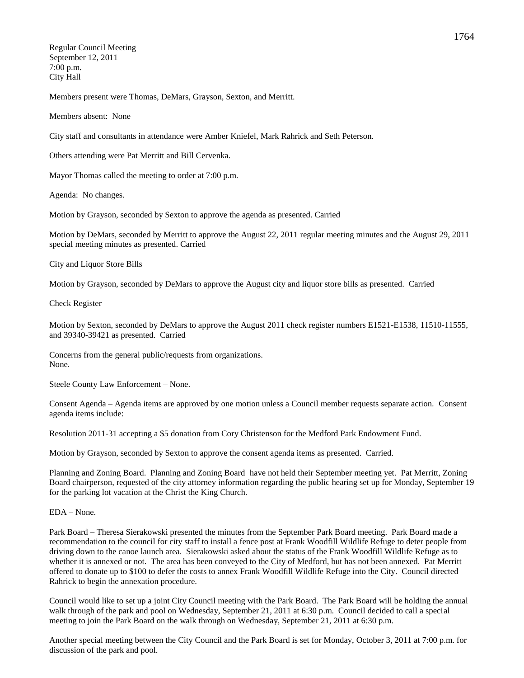Regular Council Meeting September 12, 2011 7:00 p.m. City Hall

Members present were Thomas, DeMars, Grayson, Sexton, and Merritt.

Members absent: None

City staff and consultants in attendance were Amber Kniefel, Mark Rahrick and Seth Peterson.

Others attending were Pat Merritt and Bill Cervenka.

Mayor Thomas called the meeting to order at 7:00 p.m.

Agenda: No changes.

Motion by Grayson, seconded by Sexton to approve the agenda as presented. Carried

Motion by DeMars, seconded by Merritt to approve the August 22, 2011 regular meeting minutes and the August 29, 2011 special meeting minutes as presented. Carried

City and Liquor Store Bills

Motion by Grayson, seconded by DeMars to approve the August city and liquor store bills as presented. Carried

Check Register

Motion by Sexton, seconded by DeMars to approve the August 2011 check register numbers E1521-E1538, 11510-11555, and 39340-39421 as presented. Carried

Concerns from the general public/requests from organizations. None.

Steele County Law Enforcement – None.

Consent Agenda – Agenda items are approved by one motion unless a Council member requests separate action. Consent agenda items include:

Resolution 2011-31 accepting a \$5 donation from Cory Christenson for the Medford Park Endowment Fund.

Motion by Grayson, seconded by Sexton to approve the consent agenda items as presented. Carried.

Planning and Zoning Board. Planning and Zoning Board have not held their September meeting yet. Pat Merritt, Zoning Board chairperson, requested of the city attorney information regarding the public hearing set up for Monday, September 19 for the parking lot vacation at the Christ the King Church.

EDA – None.

Park Board – Theresa Sierakowski presented the minutes from the September Park Board meeting. Park Board made a recommendation to the council for city staff to install a fence post at Frank Woodfill Wildlife Refuge to deter people from driving down to the canoe launch area. Sierakowski asked about the status of the Frank Woodfill Wildlife Refuge as to whether it is annexed or not. The area has been conveyed to the City of Medford, but has not been annexed. Pat Merritt offered to donate up to \$100 to defer the costs to annex Frank Woodfill Wildlife Refuge into the City. Council directed Rahrick to begin the annexation procedure.

Council would like to set up a joint City Council meeting with the Park Board. The Park Board will be holding the annual walk through of the park and pool on Wednesday, September 21, 2011 at 6:30 p.m. Council decided to call a special meeting to join the Park Board on the walk through on Wednesday, September 21, 2011 at 6:30 p.m.

Another special meeting between the City Council and the Park Board is set for Monday, October 3, 2011 at 7:00 p.m. for discussion of the park and pool.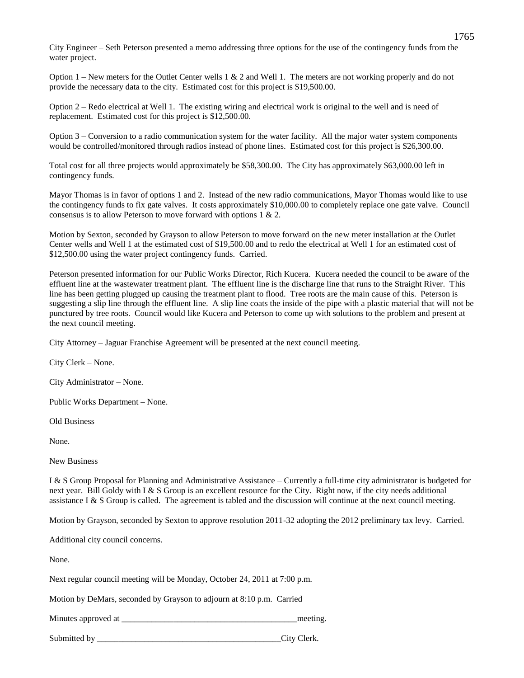City Engineer – Seth Peterson presented a memo addressing three options for the use of the contingency funds from the water project.

Option  $1$  – New meters for the Outlet Center wells 1 & 2 and Well 1. The meters are not working properly and do not provide the necessary data to the city. Estimated cost for this project is \$19,500.00.

Option 2 – Redo electrical at Well 1. The existing wiring and electrical work is original to the well and is need of replacement. Estimated cost for this project is \$12,500.00.

Option 3 – Conversion to a radio communication system for the water facility. All the major water system components would be controlled/monitored through radios instead of phone lines. Estimated cost for this project is \$26,300.00.

Total cost for all three projects would approximately be \$58,300.00. The City has approximately \$63,000.00 left in contingency funds.

Mayor Thomas is in favor of options 1 and 2. Instead of the new radio communications, Mayor Thomas would like to use the contingency funds to fix gate valves. It costs approximately \$10,000.00 to completely replace one gate valve. Council consensus is to allow Peterson to move forward with options 1 & 2.

Motion by Sexton, seconded by Grayson to allow Peterson to move forward on the new meter installation at the Outlet Center wells and Well 1 at the estimated cost of \$19,500.00 and to redo the electrical at Well 1 for an estimated cost of \$12,500.00 using the water project contingency funds. Carried.

Peterson presented information for our Public Works Director, Rich Kucera. Kucera needed the council to be aware of the effluent line at the wastewater treatment plant. The effluent line is the discharge line that runs to the Straight River. This line has been getting plugged up causing the treatment plant to flood. Tree roots are the main cause of this. Peterson is suggesting a slip line through the effluent line. A slip line coats the inside of the pipe with a plastic material that will not be punctured by tree roots. Council would like Kucera and Peterson to come up with solutions to the problem and present at the next council meeting.

City Attorney – Jaguar Franchise Agreement will be presented at the next council meeting.

City Clerk – None.

City Administrator – None.

Public Works Department – None.

Old Business

None.

New Business

I & S Group Proposal for Planning and Administrative Assistance – Currently a full-time city administrator is budgeted for next year. Bill Goldy with I & S Group is an excellent resource for the City. Right now, if the city needs additional assistance I  $&$  S Group is called. The agreement is tabled and the discussion will continue at the next council meeting.

Motion by Grayson, seconded by Sexton to approve resolution 2011-32 adopting the 2012 preliminary tax levy. Carried.

Additional city council concerns.

None.

Next regular council meeting will be Monday, October 24, 2011 at 7:00 p.m.

Motion by DeMars, seconded by Grayson to adjourn at 8:10 p.m. Carried

Minutes approved at  $\blacksquare$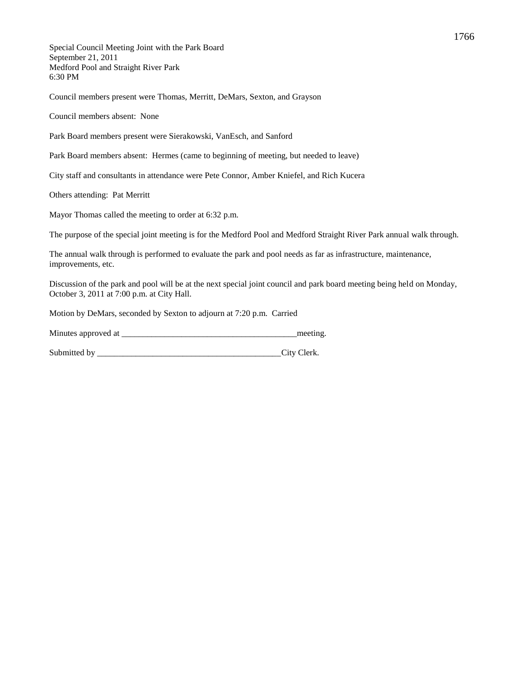Special Council Meeting Joint with the Park Board September 21, 2011 Medford Pool and Straight River Park 6:30 PM

Council members present were Thomas, Merritt, DeMars, Sexton, and Grayson

Council members absent: None

Park Board members present were Sierakowski, VanEsch, and Sanford

Park Board members absent: Hermes (came to beginning of meeting, but needed to leave)

City staff and consultants in attendance were Pete Connor, Amber Kniefel, and Rich Kucera

Others attending: Pat Merritt

Mayor Thomas called the meeting to order at 6:32 p.m.

The purpose of the special joint meeting is for the Medford Pool and Medford Straight River Park annual walk through.

The annual walk through is performed to evaluate the park and pool needs as far as infrastructure, maintenance, improvements, etc.

Discussion of the park and pool will be at the next special joint council and park board meeting being held on Monday, October 3, 2011 at 7:00 p.m. at City Hall.

Motion by DeMars, seconded by Sexton to adjourn at 7:20 p.m. Carried

| Minutes approved at | meeting |
|---------------------|---------|
|                     |         |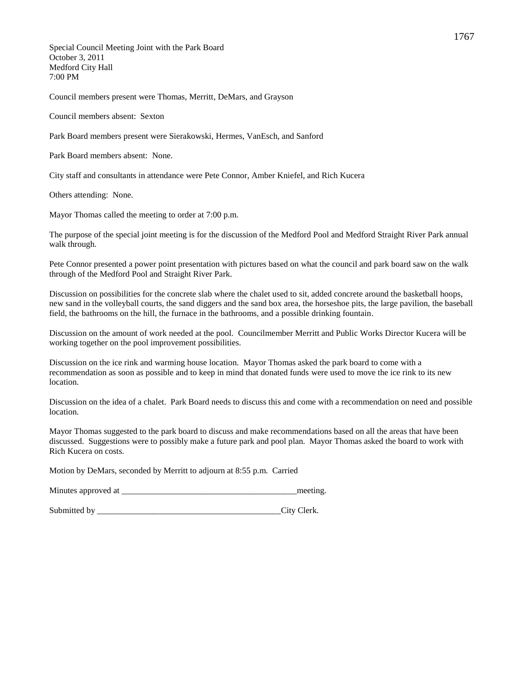Special Council Meeting Joint with the Park Board October 3, 2011 Medford City Hall 7:00 PM

Council members present were Thomas, Merritt, DeMars, and Grayson

Council members absent: Sexton

Park Board members present were Sierakowski, Hermes, VanEsch, and Sanford

Park Board members absent: None.

City staff and consultants in attendance were Pete Connor, Amber Kniefel, and Rich Kucera

Others attending: None.

Mayor Thomas called the meeting to order at 7:00 p.m.

The purpose of the special joint meeting is for the discussion of the Medford Pool and Medford Straight River Park annual walk through.

Pete Connor presented a power point presentation with pictures based on what the council and park board saw on the walk through of the Medford Pool and Straight River Park.

Discussion on possibilities for the concrete slab where the chalet used to sit, added concrete around the basketball hoops, new sand in the volleyball courts, the sand diggers and the sand box area, the horseshoe pits, the large pavilion, the baseball field, the bathrooms on the hill, the furnace in the bathrooms, and a possible drinking fountain.

Discussion on the amount of work needed at the pool. Councilmember Merritt and Public Works Director Kucera will be working together on the pool improvement possibilities.

Discussion on the ice rink and warming house location. Mayor Thomas asked the park board to come with a recommendation as soon as possible and to keep in mind that donated funds were used to move the ice rink to its new location.

Discussion on the idea of a chalet. Park Board needs to discuss this and come with a recommendation on need and possible location.

Mayor Thomas suggested to the park board to discuss and make recommendations based on all the areas that have been discussed. Suggestions were to possibly make a future park and pool plan. Mayor Thomas asked the board to work with Rich Kucera on costs.

Motion by DeMars, seconded by Merritt to adjourn at 8:55 p.m. Carried

Minutes approved at \_\_\_\_\_\_\_\_\_\_\_\_\_\_\_\_\_\_\_\_\_\_\_\_\_\_\_\_\_\_\_\_\_\_\_\_\_\_\_\_\_meeting.

Submitted by City Clerk.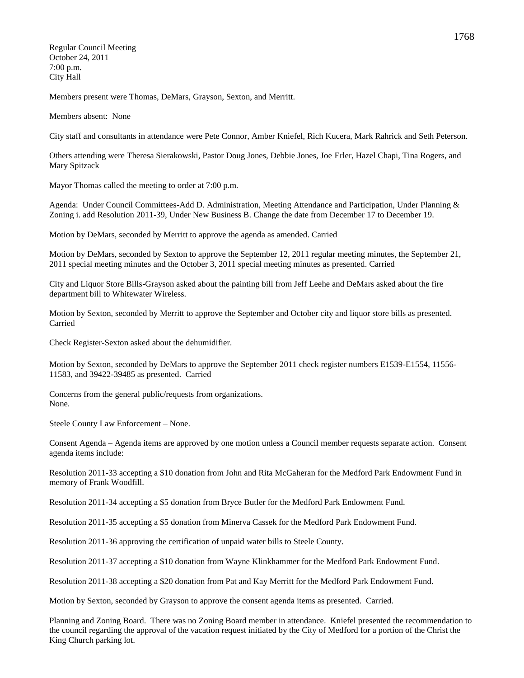Regular Council Meeting October 24, 2011 7:00 p.m. City Hall

Members present were Thomas, DeMars, Grayson, Sexton, and Merritt.

Members absent: None

City staff and consultants in attendance were Pete Connor, Amber Kniefel, Rich Kucera, Mark Rahrick and Seth Peterson.

Others attending were Theresa Sierakowski, Pastor Doug Jones, Debbie Jones, Joe Erler, Hazel Chapi, Tina Rogers, and Mary Spitzack

Mayor Thomas called the meeting to order at 7:00 p.m.

Agenda: Under Council Committees-Add D. Administration, Meeting Attendance and Participation, Under Planning & Zoning i. add Resolution 2011-39, Under New Business B. Change the date from December 17 to December 19.

Motion by DeMars, seconded by Merritt to approve the agenda as amended. Carried

Motion by DeMars, seconded by Sexton to approve the September 12, 2011 regular meeting minutes, the September 21, 2011 special meeting minutes and the October 3, 2011 special meeting minutes as presented. Carried

City and Liquor Store Bills-Grayson asked about the painting bill from Jeff Leehe and DeMars asked about the fire department bill to Whitewater Wireless.

Motion by Sexton, seconded by Merritt to approve the September and October city and liquor store bills as presented. Carried

Check Register-Sexton asked about the dehumidifier.

Motion by Sexton, seconded by DeMars to approve the September 2011 check register numbers E1539-E1554, 11556- 11583, and 39422-39485 as presented. Carried

Concerns from the general public/requests from organizations. None.

Steele County Law Enforcement – None.

Consent Agenda – Agenda items are approved by one motion unless a Council member requests separate action. Consent agenda items include:

Resolution 2011-33 accepting a \$10 donation from John and Rita McGaheran for the Medford Park Endowment Fund in memory of Frank Woodfill.

Resolution 2011-34 accepting a \$5 donation from Bryce Butler for the Medford Park Endowment Fund.

Resolution 2011-35 accepting a \$5 donation from Minerva Cassek for the Medford Park Endowment Fund.

Resolution 2011-36 approving the certification of unpaid water bills to Steele County.

Resolution 2011-37 accepting a \$10 donation from Wayne Klinkhammer for the Medford Park Endowment Fund.

Resolution 2011-38 accepting a \$20 donation from Pat and Kay Merritt for the Medford Park Endowment Fund.

Motion by Sexton, seconded by Grayson to approve the consent agenda items as presented. Carried.

Planning and Zoning Board. There was no Zoning Board member in attendance. Kniefel presented the recommendation to the council regarding the approval of the vacation request initiated by the City of Medford for a portion of the Christ the King Church parking lot.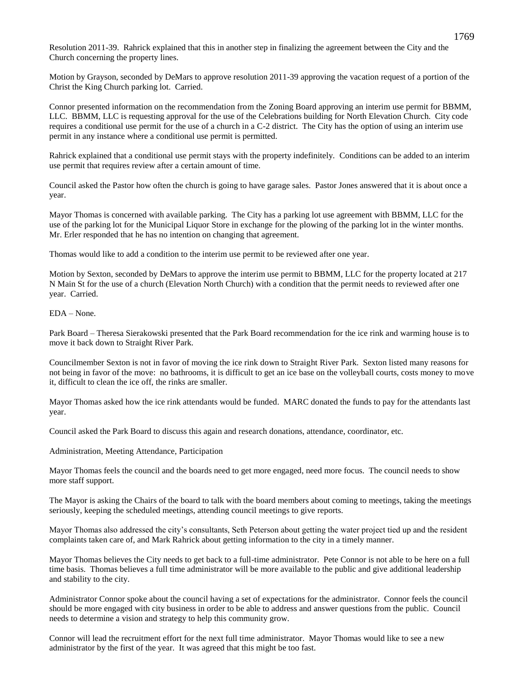Resolution 2011-39. Rahrick explained that this in another step in finalizing the agreement between the City and the Church concerning the property lines.

Motion by Grayson, seconded by DeMars to approve resolution 2011-39 approving the vacation request of a portion of the Christ the King Church parking lot. Carried.

Connor presented information on the recommendation from the Zoning Board approving an interim use permit for BBMM, LLC. BBMM, LLC is requesting approval for the use of the Celebrations building for North Elevation Church. City code requires a conditional use permit for the use of a church in a C-2 district. The City has the option of using an interim use permit in any instance where a conditional use permit is permitted.

Rahrick explained that a conditional use permit stays with the property indefinitely. Conditions can be added to an interim use permit that requires review after a certain amount of time.

Council asked the Pastor how often the church is going to have garage sales. Pastor Jones answered that it is about once a year.

Mayor Thomas is concerned with available parking. The City has a parking lot use agreement with BBMM, LLC for the use of the parking lot for the Municipal Liquor Store in exchange for the plowing of the parking lot in the winter months. Mr. Erler responded that he has no intention on changing that agreement.

Thomas would like to add a condition to the interim use permit to be reviewed after one year.

Motion by Sexton, seconded by DeMars to approve the interim use permit to BBMM, LLC for the property located at 217 N Main St for the use of a church (Elevation North Church) with a condition that the permit needs to reviewed after one year. Carried.

EDA – None.

Park Board – Theresa Sierakowski presented that the Park Board recommendation for the ice rink and warming house is to move it back down to Straight River Park.

Councilmember Sexton is not in favor of moving the ice rink down to Straight River Park. Sexton listed many reasons for not being in favor of the move: no bathrooms, it is difficult to get an ice base on the volleyball courts, costs money to move it, difficult to clean the ice off, the rinks are smaller.

Mayor Thomas asked how the ice rink attendants would be funded. MARC donated the funds to pay for the attendants last year.

Council asked the Park Board to discuss this again and research donations, attendance, coordinator, etc.

Administration, Meeting Attendance, Participation

Mayor Thomas feels the council and the boards need to get more engaged, need more focus. The council needs to show more staff support.

The Mayor is asking the Chairs of the board to talk with the board members about coming to meetings, taking the meetings seriously, keeping the scheduled meetings, attending council meetings to give reports.

Mayor Thomas also addressed the city's consultants, Seth Peterson about getting the water project tied up and the resident complaints taken care of, and Mark Rahrick about getting information to the city in a timely manner.

Mayor Thomas believes the City needs to get back to a full-time administrator. Pete Connor is not able to be here on a full time basis. Thomas believes a full time administrator will be more available to the public and give additional leadership and stability to the city.

Administrator Connor spoke about the council having a set of expectations for the administrator. Connor feels the council should be more engaged with city business in order to be able to address and answer questions from the public. Council needs to determine a vision and strategy to help this community grow.

Connor will lead the recruitment effort for the next full time administrator. Mayor Thomas would like to see a new administrator by the first of the year. It was agreed that this might be too fast.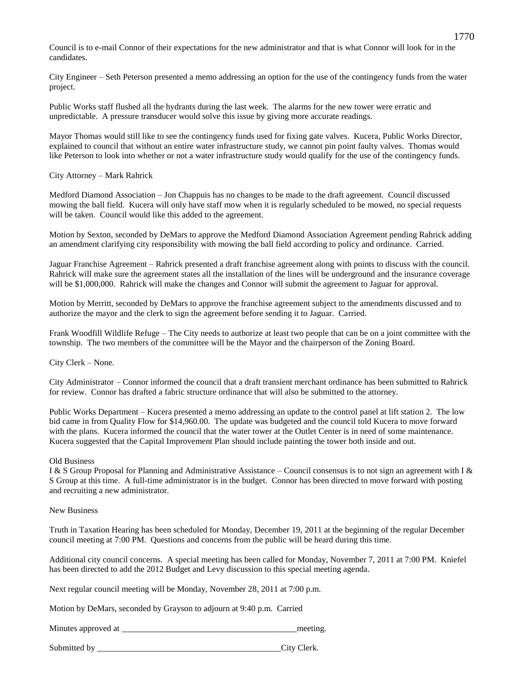Council is to e-mail Connor of their expectations for the new administrator and that is what Connor will look for in the candidates.

City Engineer – Seth Peterson presented a memo addressing an option for the use of the contingency funds from the water project.

Public Works staff flushed all the hydrants during the last week. The alarms for the new tower were erratic and unpredictable. A pressure transducer would solve this issue by giving more accurate readings.

Mayor Thomas would still like to see the contingency funds used for fixing gate valves. Kucera, Public Works Director, explained to council that without an entire water infrastructure study, we cannot pin point faulty valves. Thomas would like Peterson to look into whether or not a water infrastructure study would qualify for the use of the contingency funds.

### City Attorney – Mark Rahrick

Medford Diamond Association – Jon Chappuis has no changes to be made to the draft agreement. Council discussed mowing the ball field. Kucera will only have staff mow when it is regularly scheduled to be mowed, no special requests will be taken. Council would like this added to the agreement.

Motion by Sexton, seconded by DeMars to approve the Medford Diamond Association Agreement pending Rahrick adding an amendment clarifying city responsibility with mowing the ball field according to policy and ordinance. Carried.

Jaguar Franchise Agreement – Rahrick presented a draft franchise agreement along with points to discuss with the council. Rahrick will make sure the agreement states all the installation of the lines will be underground and the insurance coverage will be \$1,000,000. Rahrick will make the changes and Connor will submit the agreement to Jaguar for approval.

Motion by Merritt, seconded by DeMars to approve the franchise agreement subject to the amendments discussed and to authorize the mayor and the clerk to sign the agreement before sending it to Jaguar. Carried.

Frank Woodfill Wildlife Refuge – The City needs to authorize at least two people that can be on a joint committee with the township. The two members of the committee will be the Mayor and the chairperson of the Zoning Board.

City Clerk – None.

City Administrator – Connor informed the council that a draft transient merchant ordinance has been submitted to Rahrick for review. Connor has drafted a fabric structure ordinance that will also be submitted to the attorney.

Public Works Department – Kucera presented a memo addressing an update to the control panel at lift station 2. The low bid came in from Quality Flow for \$14,960.00. The update was budgeted and the council told Kucera to move forward with the plans. Kucera informed the council that the water tower at the Outlet Center is in need of some maintenance. Kucera suggested that the Capital Improvement Plan should include painting the tower both inside and out.

### Old Business

I & S Group Proposal for Planning and Administrative Assistance – Council consensus is to not sign an agreement with I & S Group at this time. A full-time administrator is in the budget. Connor has been directed to move forward with posting and recruiting a new administrator.

### New Business

Truth in Taxation Hearing has been scheduled for Monday, December 19, 2011 at the beginning of the regular December council meeting at 7:00 PM. Questions and concerns from the public will be heard during this time.

Additional city council concerns. A special meeting has been called for Monday, November 7, 2011 at 7:00 PM. Kniefel has been directed to add the 2012 Budget and Levy discussion to this special meeting agenda.

Next regular council meeting will be Monday, November 28, 2011 at 7:00 p.m.

Motion by DeMars, seconded by Grayson to adjourn at 9:40 p.m. Carried

Minutes approved at  $\blacksquare$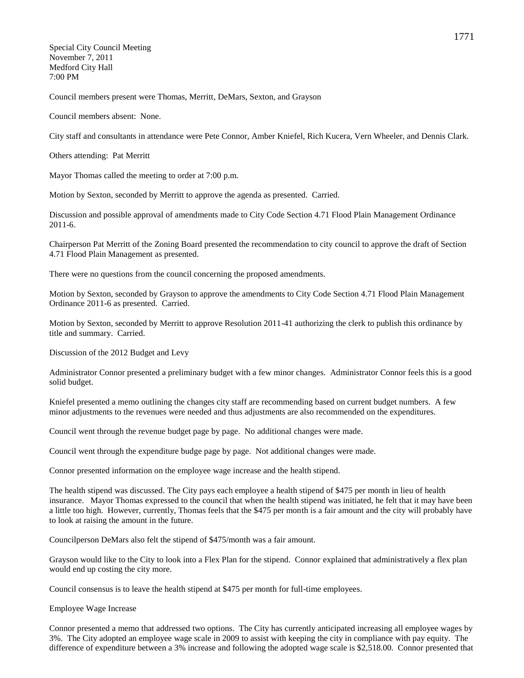Special City Council Meeting November 7, 2011 Medford City Hall 7:00 PM

Council members present were Thomas, Merritt, DeMars, Sexton, and Grayson

Council members absent: None.

City staff and consultants in attendance were Pete Connor, Amber Kniefel, Rich Kucera, Vern Wheeler, and Dennis Clark.

Others attending: Pat Merritt

Mayor Thomas called the meeting to order at 7:00 p.m.

Motion by Sexton, seconded by Merritt to approve the agenda as presented. Carried.

Discussion and possible approval of amendments made to City Code Section 4.71 Flood Plain Management Ordinance 2011-6.

Chairperson Pat Merritt of the Zoning Board presented the recommendation to city council to approve the draft of Section 4.71 Flood Plain Management as presented.

There were no questions from the council concerning the proposed amendments.

Motion by Sexton, seconded by Grayson to approve the amendments to City Code Section 4.71 Flood Plain Management Ordinance 2011-6 as presented. Carried.

Motion by Sexton, seconded by Merritt to approve Resolution 2011-41 authorizing the clerk to publish this ordinance by title and summary. Carried.

Discussion of the 2012 Budget and Levy

Administrator Connor presented a preliminary budget with a few minor changes. Administrator Connor feels this is a good solid budget.

Kniefel presented a memo outlining the changes city staff are recommending based on current budget numbers. A few minor adjustments to the revenues were needed and thus adjustments are also recommended on the expenditures.

Council went through the revenue budget page by page. No additional changes were made.

Council went through the expenditure budge page by page. Not additional changes were made.

Connor presented information on the employee wage increase and the health stipend.

The health stipend was discussed. The City pays each employee a health stipend of \$475 per month in lieu of health insurance. Mayor Thomas expressed to the council that when the health stipend was initiated, he felt that it may have been a little too high. However, currently, Thomas feels that the \$475 per month is a fair amount and the city will probably have to look at raising the amount in the future.

Councilperson DeMars also felt the stipend of \$475/month was a fair amount.

Grayson would like to the City to look into a Flex Plan for the stipend. Connor explained that administratively a flex plan would end up costing the city more.

Council consensus is to leave the health stipend at \$475 per month for full-time employees.

Employee Wage Increase

Connor presented a memo that addressed two options. The City has currently anticipated increasing all employee wages by 3%. The City adopted an employee wage scale in 2009 to assist with keeping the city in compliance with pay equity. The difference of expenditure between a 3% increase and following the adopted wage scale is \$2,518.00. Connor presented that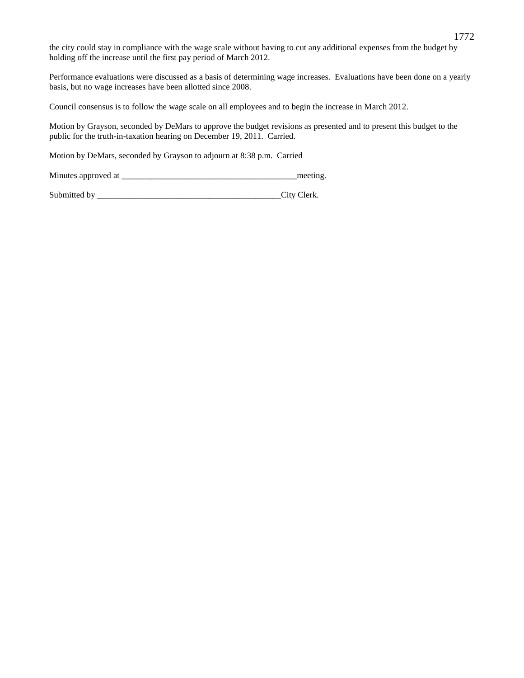the city could stay in compliance with the wage scale without having to cut any additional expenses from the budget by holding off the increase until the first pay period of March 2012.

Performance evaluations were discussed as a basis of determining wage increases. Evaluations have been done on a yearly basis, but no wage increases have been allotted since 2008.

Council consensus is to follow the wage scale on all employees and to begin the increase in March 2012.

Motion by Grayson, seconded by DeMars to approve the budget revisions as presented and to present this budget to the public for the truth-in-taxation hearing on December 19, 2011. Carried.

Motion by DeMars, seconded by Grayson to adjourn at 8:38 p.m. Carried

Minutes approved at  $\Box$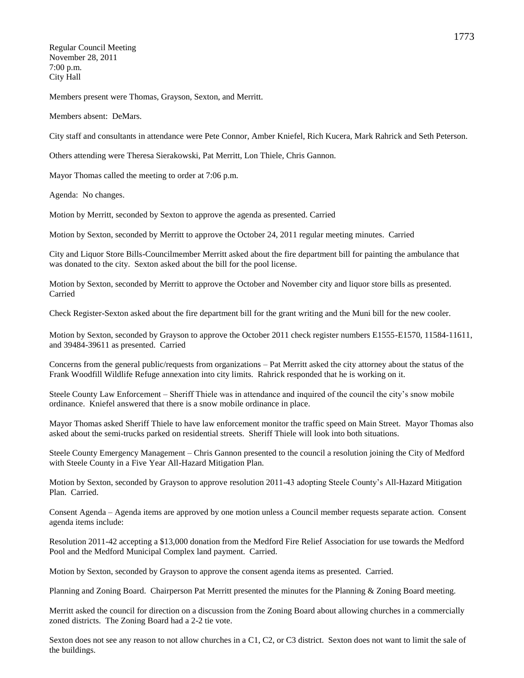Regular Council Meeting November 28, 2011 7:00 p.m. City Hall

Members present were Thomas, Grayson, Sexton, and Merritt.

Members absent: DeMars.

City staff and consultants in attendance were Pete Connor, Amber Kniefel, Rich Kucera, Mark Rahrick and Seth Peterson.

Others attending were Theresa Sierakowski, Pat Merritt, Lon Thiele, Chris Gannon.

Mayor Thomas called the meeting to order at 7:06 p.m.

Agenda: No changes.

Motion by Merritt, seconded by Sexton to approve the agenda as presented. Carried

Motion by Sexton, seconded by Merritt to approve the October 24, 2011 regular meeting minutes. Carried

City and Liquor Store Bills-Councilmember Merritt asked about the fire department bill for painting the ambulance that was donated to the city. Sexton asked about the bill for the pool license.

Motion by Sexton, seconded by Merritt to approve the October and November city and liquor store bills as presented. Carried

Check Register-Sexton asked about the fire department bill for the grant writing and the Muni bill for the new cooler.

Motion by Sexton, seconded by Grayson to approve the October 2011 check register numbers E1555-E1570, 11584-11611, and 39484-39611 as presented. Carried

Concerns from the general public/requests from organizations – Pat Merritt asked the city attorney about the status of the Frank Woodfill Wildlife Refuge annexation into city limits. Rahrick responded that he is working on it.

Steele County Law Enforcement – Sheriff Thiele was in attendance and inquired of the council the city's snow mobile ordinance. Kniefel answered that there is a snow mobile ordinance in place.

Mayor Thomas asked Sheriff Thiele to have law enforcement monitor the traffic speed on Main Street. Mayor Thomas also asked about the semi-trucks parked on residential streets. Sheriff Thiele will look into both situations.

Steele County Emergency Management – Chris Gannon presented to the council a resolution joining the City of Medford with Steele County in a Five Year All-Hazard Mitigation Plan.

Motion by Sexton, seconded by Grayson to approve resolution 2011-43 adopting Steele County's All-Hazard Mitigation Plan. Carried.

Consent Agenda – Agenda items are approved by one motion unless a Council member requests separate action. Consent agenda items include:

Resolution 2011-42 accepting a \$13,000 donation from the Medford Fire Relief Association for use towards the Medford Pool and the Medford Municipal Complex land payment. Carried.

Motion by Sexton, seconded by Grayson to approve the consent agenda items as presented. Carried.

Planning and Zoning Board. Chairperson Pat Merritt presented the minutes for the Planning & Zoning Board meeting.

Merritt asked the council for direction on a discussion from the Zoning Board about allowing churches in a commercially zoned districts. The Zoning Board had a 2-2 tie vote.

Sexton does not see any reason to not allow churches in a C1, C2, or C3 district. Sexton does not want to limit the sale of the buildings.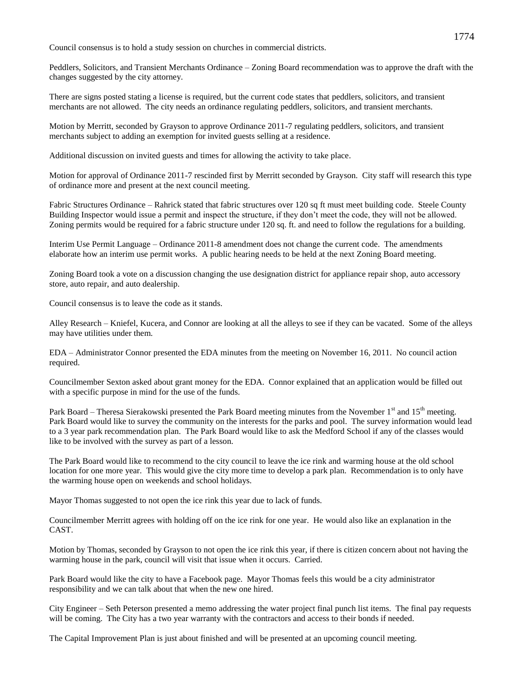Council consensus is to hold a study session on churches in commercial districts.

Peddlers, Solicitors, and Transient Merchants Ordinance – Zoning Board recommendation was to approve the draft with the changes suggested by the city attorney.

There are signs posted stating a license is required, but the current code states that peddlers, solicitors, and transient merchants are not allowed. The city needs an ordinance regulating peddlers, solicitors, and transient merchants.

Motion by Merritt, seconded by Grayson to approve Ordinance 2011-7 regulating peddlers, solicitors, and transient merchants subject to adding an exemption for invited guests selling at a residence.

Additional discussion on invited guests and times for allowing the activity to take place.

Motion for approval of Ordinance 2011-7 rescinded first by Merritt seconded by Grayson. City staff will research this type of ordinance more and present at the next council meeting.

Fabric Structures Ordinance – Rahrick stated that fabric structures over 120 sq ft must meet building code. Steele County Building Inspector would issue a permit and inspect the structure, if they don't meet the code, they will not be allowed. Zoning permits would be required for a fabric structure under 120 sq. ft. and need to follow the regulations for a building.

Interim Use Permit Language – Ordinance 2011-8 amendment does not change the current code. The amendments elaborate how an interim use permit works. A public hearing needs to be held at the next Zoning Board meeting.

Zoning Board took a vote on a discussion changing the use designation district for appliance repair shop, auto accessory store, auto repair, and auto dealership.

Council consensus is to leave the code as it stands.

Alley Research – Kniefel, Kucera, and Connor are looking at all the alleys to see if they can be vacated. Some of the alleys may have utilities under them.

EDA – Administrator Connor presented the EDA minutes from the meeting on November 16, 2011. No council action required.

Councilmember Sexton asked about grant money for the EDA. Connor explained that an application would be filled out with a specific purpose in mind for the use of the funds.

Park Board – Theresa Sierakowski presented the Park Board meeting minutes from the November  $1<sup>st</sup>$  and  $15<sup>th</sup>$  meeting. Park Board would like to survey the community on the interests for the parks and pool. The survey information would lead to a 3 year park recommendation plan. The Park Board would like to ask the Medford School if any of the classes would like to be involved with the survey as part of a lesson.

The Park Board would like to recommend to the city council to leave the ice rink and warming house at the old school location for one more year. This would give the city more time to develop a park plan. Recommendation is to only have the warming house open on weekends and school holidays.

Mayor Thomas suggested to not open the ice rink this year due to lack of funds.

Councilmember Merritt agrees with holding off on the ice rink for one year. He would also like an explanation in the CAST.

Motion by Thomas, seconded by Grayson to not open the ice rink this year, if there is citizen concern about not having the warming house in the park, council will visit that issue when it occurs. Carried.

Park Board would like the city to have a Facebook page. Mayor Thomas feels this would be a city administrator responsibility and we can talk about that when the new one hired.

City Engineer – Seth Peterson presented a memo addressing the water project final punch list items. The final pay requests will be coming. The City has a two year warranty with the contractors and access to their bonds if needed.

The Capital Improvement Plan is just about finished and will be presented at an upcoming council meeting.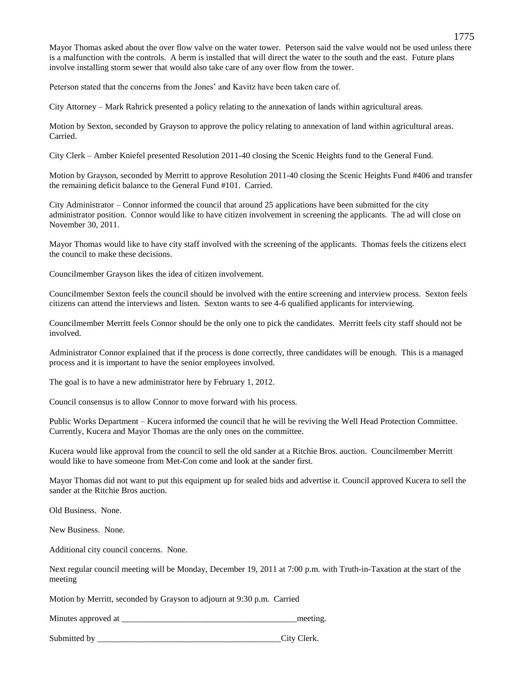Mayor Thomas asked about the over flow valve on the water tower. Peterson said the valve would not be used unless there is a malfunction with the controls. A berm is installed that will direct the water to the south and the east. Future plans involve installing storm sewer that would also take care of any over flow from the tower.

Peterson stated that the concerns from the Jones' and Kavitz have been taken care of.

City Attorney – Mark Rahrick presented a policy relating to the annexation of lands within agricultural areas.

Motion by Sexton, seconded by Grayson to approve the policy relating to annexation of land within agricultural areas. Carried.

City Clerk – Amber Kniefel presented Resolution 2011-40 closing the Scenic Heights fund to the General Fund.

Motion by Grayson, seconded by Merritt to approve Resolution 2011-40 closing the Scenic Heights Fund #406 and transfer the remaining deficit balance to the General Fund #101. Carried.

City Administrator – Connor informed the council that around 25 applications have been submitted for the city administrator position. Connor would like to have citizen involvement in screening the applicants. The ad will close on November 30, 2011.

Mayor Thomas would like to have city staff involved with the screening of the applicants. Thomas feels the citizens elect the council to make these decisions.

Councilmember Grayson likes the idea of citizen involvement.

Councilmember Sexton feels the council should be involved with the entire screening and interview process. Sexton feels citizens can attend the interviews and listen. Sexton wants to see 4-6 qualified applicants for interviewing.

Councilmember Merritt feels Connor should be the only one to pick the candidates. Merritt feels city staff should not be involved.

Administrator Connor explained that if the process is done correctly, three candidates will be enough. This is a managed process and it is important to have the senior employees involved.

The goal is to have a new administrator here by February 1, 2012.

Council consensus is to allow Connor to move forward with his process.

Public Works Department – Kucera informed the council that he will be reviving the Well Head Protection Committee. Currently, Kucera and Mayor Thomas are the only ones on the committee.

Kucera would like approval from the council to sell the old sander at a Ritchie Bros. auction. Councilmember Merritt would like to have someone from Met-Con come and look at the sander first.

Mayor Thomas did not want to put this equipment up for sealed bids and advertise it. Council approved Kucera to sell the sander at the Ritchie Bros auction.

Old Business. None.

New Business. None.

Additional city council concerns. None.

Next regular council meeting will be Monday, December 19, 2011 at 7:00 p.m. with Truth-in-Taxation at the start of the meeting

Motion by Merritt, seconded by Grayson to adjourn at 9:30 p.m. Carried

Minutes approved at  $\blacksquare$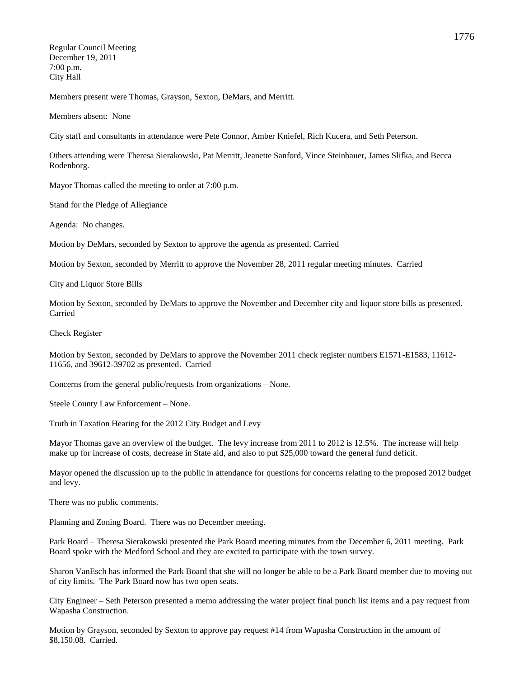Regular Council Meeting December 19, 2011 7:00 p.m. City Hall

Members present were Thomas, Grayson, Sexton, DeMars, and Merritt.

Members absent: None

City staff and consultants in attendance were Pete Connor, Amber Kniefel, Rich Kucera, and Seth Peterson.

Others attending were Theresa Sierakowski, Pat Merritt, Jeanette Sanford, Vince Steinbauer, James Slifka, and Becca Rodenborg.

Mayor Thomas called the meeting to order at 7:00 p.m.

Stand for the Pledge of Allegiance

Agenda: No changes.

Motion by DeMars, seconded by Sexton to approve the agenda as presented. Carried

Motion by Sexton, seconded by Merritt to approve the November 28, 2011 regular meeting minutes. Carried

City and Liquor Store Bills

Motion by Sexton, seconded by DeMars to approve the November and December city and liquor store bills as presented. Carried

Check Register

Motion by Sexton, seconded by DeMars to approve the November 2011 check register numbers E1571-E1583, 11612- 11656, and 39612-39702 as presented. Carried

Concerns from the general public/requests from organizations – None.

Steele County Law Enforcement – None.

Truth in Taxation Hearing for the 2012 City Budget and Levy

Mayor Thomas gave an overview of the budget. The levy increase from 2011 to 2012 is 12.5%. The increase will help make up for increase of costs, decrease in State aid, and also to put \$25,000 toward the general fund deficit.

Mayor opened the discussion up to the public in attendance for questions for concerns relating to the proposed 2012 budget and levy.

There was no public comments.

Planning and Zoning Board. There was no December meeting.

Park Board – Theresa Sierakowski presented the Park Board meeting minutes from the December 6, 2011 meeting. Park Board spoke with the Medford School and they are excited to participate with the town survey.

Sharon VanEsch has informed the Park Board that she will no longer be able to be a Park Board member due to moving out of city limits. The Park Board now has two open seats.

City Engineer – Seth Peterson presented a memo addressing the water project final punch list items and a pay request from Wapasha Construction.

Motion by Grayson, seconded by Sexton to approve pay request #14 from Wapasha Construction in the amount of \$8,150.08. Carried.